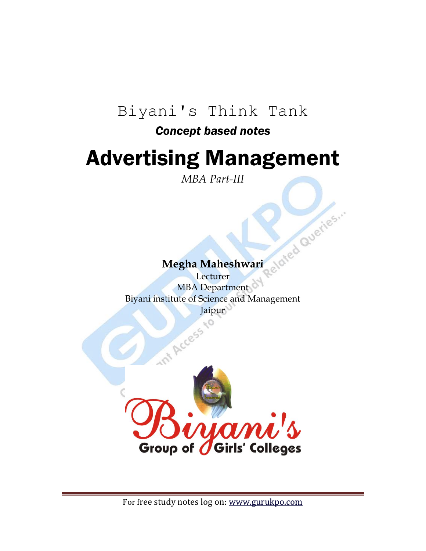### Biyani's Think Tank

### *Concept based notes*

# Advertising Management

*MBA Part-III*

Megha Maheshwari eld<sup>ted Queries.</sup> **Lecturer** MBA Department Biyani institute of Science and Management Jaipur

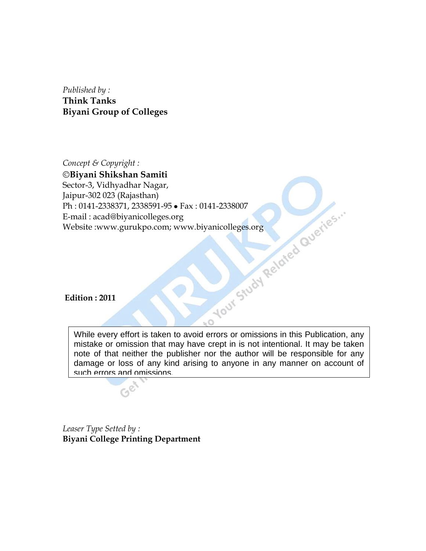*Published by :* **Think Tanks Biyani Group of Colleges**

*Concept & Copyright :* **Biyani Shikshan Samiti** Sector-3, Vidhyadhar Nagar, Jaipur-302 023 (Rajasthan) Ph : 0141-2338371, 2338591-95 • Fax : 0141-2338007<br>E-mail : acad@biyanicolleges.org<br>Website :www.gurukpo.com; www.biyanicolleges.org<br>Edition : 2011 E-mail : acad@biyanicolleges.org Website :www.gurukpo.com; www.biyanicolleges.org

**Edition : 2011**

While every effort is taken to avoid errors or omissions in this Publication, any mistake or omission that may have crept in is not intentional. It may be taken note of that neither the publisher nor the author will be responsible for any damage or loss of any kind arising to anyone in any manner on account of such errors and omissions.

 $\circ$ 

*Leaser Type Setted by :* **Biyani College Printing Department**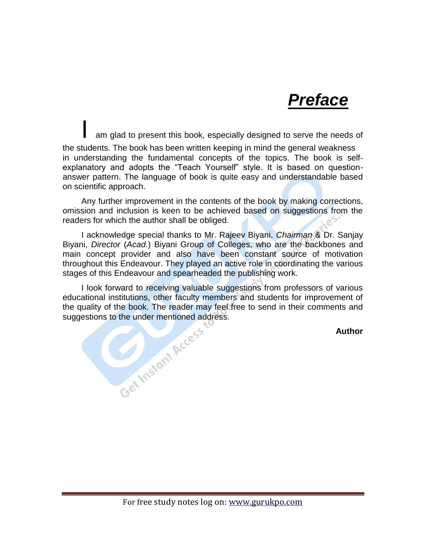*Preface*

am glad to present this book, especially designed to serve the needs of the students. The book has been written keeping in mind the general weakness in understanding the fundamental concepts of the topics. The book is selfexplanatory and adopts the "Teach Yourself" style. It is based on questionanswer pattern. The language of book is quite easy and understandable based on scientific approach.

Any further improvement in the contents of the book by making corrections, omission and inclusion is keen to be achieved based on suggestions from the readers for which the author shall be obliged.

I acknowledge special thanks to Mr. Rajeev Biyani, *Chairman* & Dr. Sanjay Biyani, *Director* (*Acad.*) Biyani Group of Colleges, who are the backbones and main concept provider and also have been constant source of motivation throughout this Endeavour. They played an active role in coordinating the various stages of this Endeavour and spearheaded the publishing work.

I look forward to receiving valuable suggestions from professors of various educational institutions, other faculty members and students for improvement of the quality of the book. The reader may feel free to send in their comments and<br>suggestions to the under mentioned address.<br>Author suggestions to the under mentioned address.

**Author**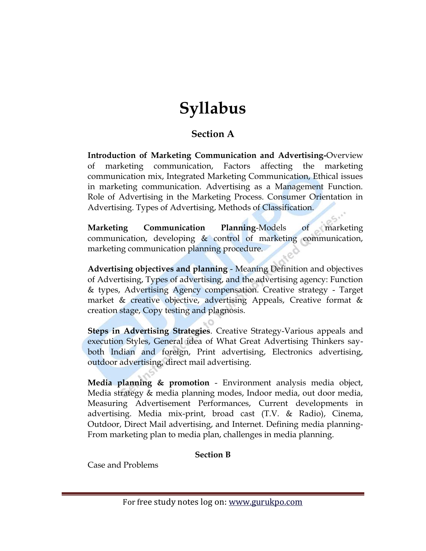## **Syllabus**

### **Section A**

**Introduction of Marketing Communication and Advertising-**Overview of marketing communication, Factors affecting the marketing communication mix, Integrated Marketing Communication, Ethical issues in marketing communication. Advertising as a Management Function. Role of Advertising in the Marketing Process. Consumer Orientation in Advertising. Types of Advertising, Methods of Classification.

**Marketing Communication Planning**-Models of marketing communication, developing & control of marketing communication, marketing communication planning procedure.

**Advertising objectives and planning** - Meaning Definition and objectives of Advertising, Types of advertising, and the advertising agency: Function & types, Advertising Agency compensation. Creative strategy - Target market & creative objective, advertising Appeals, Creative format & creation stage, Copy testing and plagnosis.

**Steps in Advertising Strategies**. Creative Strategy-Various appeals and execution Styles, General idea of What Great Advertising Thinkers sayboth Indian and foreign, Print advertising, Electronics advertising, outdoor advertising, direct mail advertising.

**Media planning & promotion** - Environment analysis media object, Media strategy & media planning modes, Indoor media, out door media, Measuring Advertisement Performances, Current developments in advertising. Media mix-print, broad cast (T.V. & Radio), Cinema, Outdoor, Direct Mail advertising, and Internet. Defining media planning-From marketing plan to media plan, challenges in media planning.

#### **Section B**

Case and Problems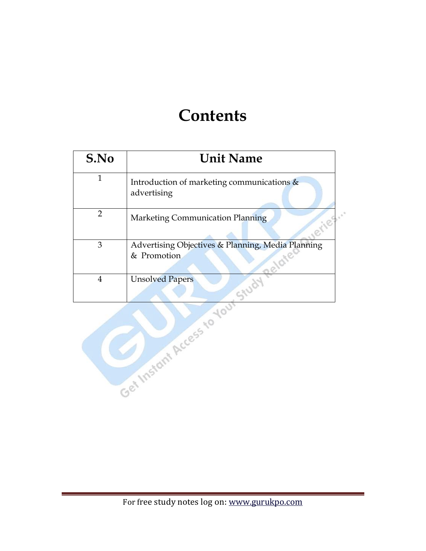# **Contents**

| S.No           | <b>Unit Name</b>                                                           |
|----------------|----------------------------------------------------------------------------|
| $\mathbf{1}$   | Introduction of marketing communications &<br>advertising                  |
| $\overline{2}$ | eries."<br>Marketing Communication Planning                                |
| 3              | Advertising Objectives & Planning, Media Planning<br>& Promotion<br>pelate |
| $\overline{4}$ |                                                                            |
|                | Get Instant Access to Your Study                                           |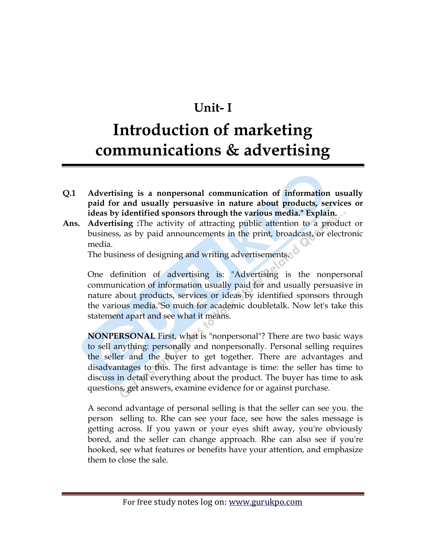### **Unit- I**

### **Introduction of marketing communications & advertising**

- **Q.1 Advertising is a nonpersonal communication of information usually paid for and usually persuasive in nature about products, services or ideas by identified sponsors through the various media." Explain.**
- **Ans. Advertising :**The activity of attracting public attention to a product or business, as by paid announcements in the print, broadcast, or electronic media.

The business of designing and writing advertisements.

One definition of advertising is: "Advertising is the nonpersonal communication of information usually paid for and usually persuasive in nature about products, services or ideas by identified sponsors through the various media."So much for academic doubletalk. Now let's take this statement apart and see what it means.

**NONPERSONAL** First, what is "nonpersonal"? There are two basic ways to sell anything: personally and nonpersonally. Personal selling requires the seller and the buyer to get together. There are advantages and disadvantages to this. The first advantage is time: the seller has time to discuss in detail everything about the product. The buyer has time to ask questions, get answers, examine evidence for or against purchase.

A second advantage of personal selling is that the seller can see you. the person selling to. Rhe can see your face, see how the sales message is getting across. If you yawn or your eyes shift away, you're obviously bored, and the seller can change approach. Rhe can also see if you're hooked, see what features or benefits have your attention, and emphasize them to close the sale.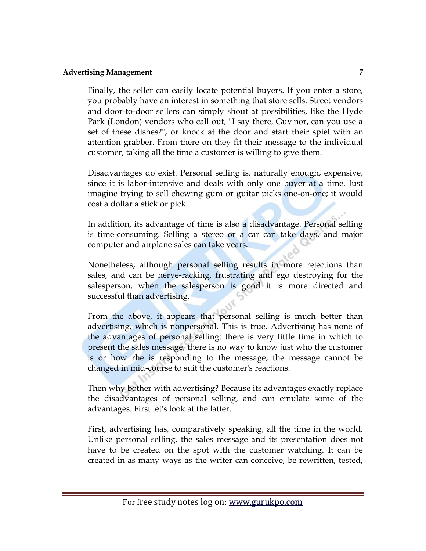Finally, the seller can easily locate potential buyers. If you enter a store, you probably have an interest in something that store sells. Street vendors and door-to-door sellers can simply shout at possibilities, like the Hyde Park (London) vendors who call out, "I say there, Guv'nor, can you use a set of these dishes?", or knock at the door and start their spiel with an attention grabber. From there on they fit their message to the individual customer, taking all the time a customer is willing to give them.

Disadvantages do exist. Personal selling is, naturally enough, expensive, since it is labor-intensive and deals with only one buyer at a time. Just imagine trying to sell chewing gum or guitar picks one-on-one; it would cost a dollar a stick or pick.

In addition, its advantage of time is also a disadvantage. Personal selling is time-consuming. Selling a stereo or a car can take days, and major computer and airplane sales can take years.

Nonetheless, although personal selling results in more rejections than sales, and can be nerve-racking, frustrating and ego destroying for the salesperson, when the salesperson is good it is more directed and successful than advertising.

From the above, it appears that personal selling is much better than advertising, which is nonpersonal. This is true. Advertising has none of the advantages of personal selling: there is very little time in which to present the sales message, there is no way to know just who the customer is or how rhe is responding to the message, the message cannot be changed in mid-course to suit the customer's reactions.

Then why bother with advertising? Because its advantages exactly replace the disadvantages of personal selling, and can emulate some of the advantages. First let's look at the latter.

First, advertising has, comparatively speaking, all the time in the world. Unlike personal selling, the sales message and its presentation does not have to be created on the spot with the customer watching. It can be created in as many ways as the writer can conceive, be rewritten, tested,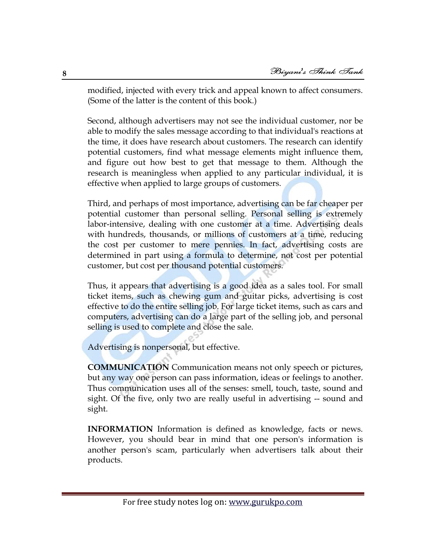modified, injected with every trick and appeal known to affect consumers. (Some of the latter is the content of this book.)

Second, although advertisers may not see the individual customer, nor be able to modify the sales message according to that individual's reactions at the time, it does have research about customers. The research can identify potential customers, find what message elements might influence them, and figure out how best to get that message to them. Although the research is meaningless when applied to any particular individual, it is effective when applied to large groups of customers.

Third, and perhaps of most importance, advertising can be far cheaper per potential customer than personal selling. Personal selling is extremely labor-intensive, dealing with one customer at a time. Advertising deals with hundreds, thousands, or millions of customers at a time, reducing the cost per customer to mere pennies. In fact, advertising costs are determined in part using a formula to determine, not cost per potential customer, but cost per thousand potential customers.

Thus, it appears that advertising is a good idea as a sales tool. For small ticket items, such as chewing gum and guitar picks, advertising is cost effective to do the entire selling job. For large ticket items, such as cars and computers, advertising can do a large part of the selling job, and personal selling is used to complete and close the sale.

Advertising is nonpersonal, but effective.

**COMMUNICATION** Communication means not only speech or pictures, but any way one person can pass information, ideas or feelings to another. Thus communication uses all of the senses: smell, touch, taste, sound and sight. Of the five, only two are really useful in advertising -- sound and sight.

**INFORMATION** Information is defined as knowledge, facts or news. However, you should bear in mind that one person's information is another person's scam, particularly when advertisers talk about their products.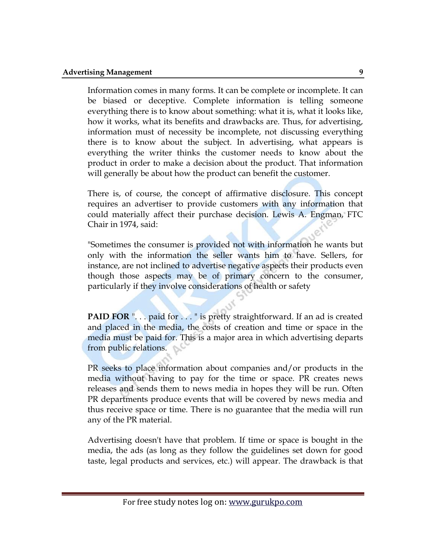Information comes in many forms. It can be complete or incomplete. It can be biased or deceptive. Complete information is telling someone everything there is to know about something: what it is, what it looks like, how it works, what its benefits and drawbacks are. Thus, for advertising, information must of necessity be incomplete, not discussing everything there is to know about the subject. In advertising, what appears is everything the writer thinks the customer needs to know about the product in order to make a decision about the product. That information will generally be about how the product can benefit the customer.

There is, of course, the concept of affirmative disclosure. This concept requires an advertiser to provide customers with any information that could materially affect their purchase decision. Lewis A. Engman, FTC Chair in 1974, said:

"Sometimes the consumer is provided not with information he wants but only with the information the seller wants him to have. Sellers, for instance, are not inclined to advertise negative aspects their products even though those aspects may be of primary concern to the consumer, particularly if they involve considerations of health or safety

PAID FOR ". . . paid for . . . " is pretty straightforward. If an ad is created and placed in the media, the costs of creation and time or space in the media must be paid for. This is a major area in which advertising departs from public relations.

PR seeks to place information about companies and/or products in the media without having to pay for the time or space. PR creates news releases and sends them to news media in hopes they will be run. Often PR departments produce events that will be covered by news media and thus receive space or time. There is no guarantee that the media will run any of the PR material.

Advertising doesn't have that problem. If time or space is bought in the media, the ads (as long as they follow the guidelines set down for good taste, legal products and services, etc.) will appear. The drawback is that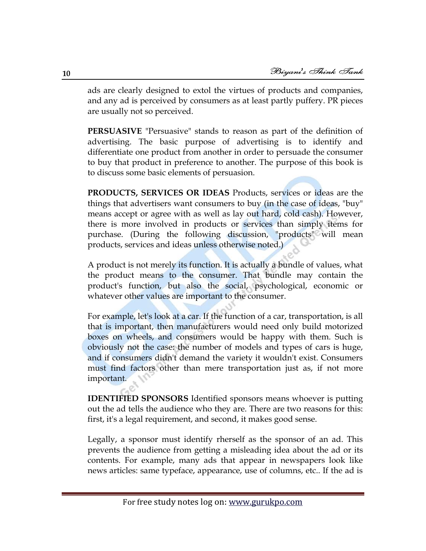ads are clearly designed to extol the virtues of products and companies, and any ad is perceived by consumers as at least partly puffery. PR pieces are usually not so perceived.

**PERSUASIVE** "Persuasive" stands to reason as part of the definition of advertising. The basic purpose of advertising is to identify and differentiate one product from another in order to persuade the consumer to buy that product in preference to another. The purpose of this book is to discuss some basic elements of persuasion.

**PRODUCTS, SERVICES OR IDEAS** Products, services or ideas are the things that advertisers want consumers to buy (in the case of ideas, "buy" means accept or agree with as well as lay out hard, cold cash). However, there is more involved in products or services than simply items for purchase. (During the following discussion, "products" will mean products, services and ideas unless otherwise noted.)

A product is not merely its function. It is actually a bundle of values, what the product means to the consumer. That bundle may contain the product's function, but also the social, psychological, economic or whatever other values are important to the consumer.

For example, let's look at a car. If the function of a car, transportation, is all that is important, then manufacturers would need only build motorized boxes on wheels, and consumers would be happy with them. Such is obviously not the case: the number of models and types of cars is huge, and if consumers didn't demand the variety it wouldn't exist. Consumers must find factors other than mere transportation just as, if not more important.

**IDENTIFIED SPONSORS** Identified sponsors means whoever is putting out the ad tells the audience who they are. There are two reasons for this: first, it's a legal requirement, and second, it makes good sense.

Legally, a sponsor must identify rherself as the sponsor of an ad. This prevents the audience from getting a misleading idea about the ad or its contents. For example, many ads that appear in newspapers look like news articles: same typeface, appearance, use of columns, etc.. If the ad is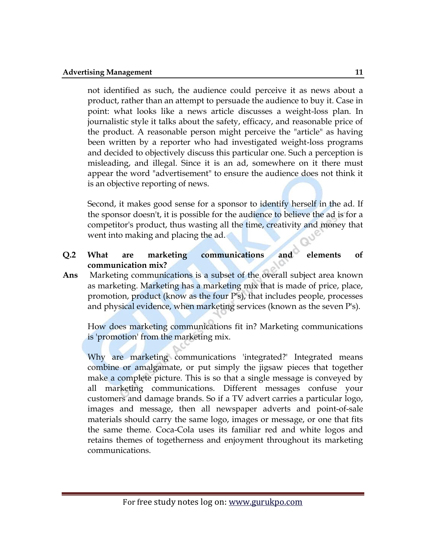not identified as such, the audience could perceive it as news about a product, rather than an attempt to persuade the audience to buy it. Case in point: what looks like a news article discusses a weight-loss plan. In journalistic style it talks about the safety, efficacy, and reasonable price of the product. A reasonable person might perceive the "article" as having been written by a reporter who had investigated weight-loss programs and decided to objectively discuss this particular one. Such a perception is misleading, and illegal. Since it is an ad, somewhere on it there must appear the word "advertisement" to ensure the audience does not think it is an objective reporting of news.

Second, it makes good sense for a sponsor to identify herself in the ad. If the sponsor doesn't, it is possible for the audience to believe the ad is for a competitor's product, thus wasting all the time, creativity and money that went into making and placing the ad.

### **Q.2 What are marketing communications and elements of communication mix?**

**Ans** Marketing communications is a subset of the overall subject area known as marketing. Marketing has a marketing mix that is made of price, place, promotion, product (know as the four P's), that includes people, processes and physical evidence, when marketing services (known as the seven P's).

How does marketing communications fit in? Marketing communications is 'promotion' from the marketing mix.

Why are marketing communications 'integrated?' Integrated means combine or amalgamate, or put simply the jigsaw pieces that together make a complete picture. This is so that a single message is conveyed by all marketing communications. Different messages confuse your customers and damage brands. So if a TV advert carries a particular logo, images and message, then all newspaper adverts and point-of-sale materials should carry the same logo, images or message, or one that fits the same theme. Coca-Cola uses its familiar red and white logos and retains themes of togetherness and enjoyment throughout its marketing communications.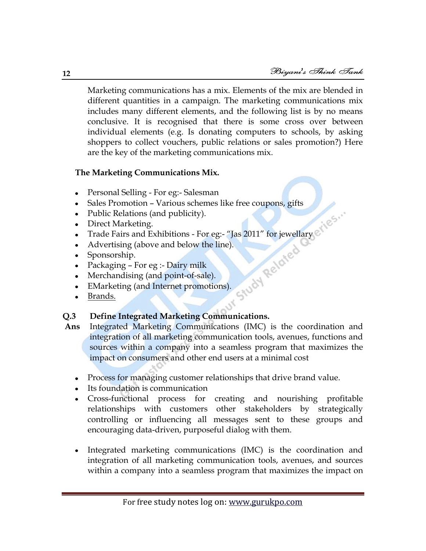Marketing communications has a mix. Elements of the mix are blended in different quantities in a campaign. The marketing communications mix includes many different elements, and the following list is by no means conclusive. It is recognised that there is some cross over between individual elements (e.g. Is donating computers to schools, by asking shoppers to collect vouchers, public relations or sales promotion?) Here are the key of the marketing communications mix.

#### **The Marketing Communications Mix.**

- [Personal Selling](http://marketingteacher.com/lesson-store/lesson-personal-selling.html) For eg:- Salesman
- [Sales Promotion](http://marketingteacher.com/lesson-store/lesson-sales-promotion.html) Various schemes like free coupons, gifts  $\bullet$
- [Public Relations \(and publicity\).](http://marketingteacher.com/lesson-store/lesson-public-relations.html)
- [Direct Marketing.](http://marketingteacher.com/lesson-store/lesson-direct-marketing.html)
- Trade Fairs and Exhibitions For eg:- "Jas 2011" for jewellary
- [Advertising \(above and below the line\).](http://marketingteacher.com/lesson-store/lesson-advertising.html)
- Sponsorship.
- Packaging For eg :- Dairy milk
- Merchandising (and point-of-sale).
- [EMarketing \(and Internet promotions\).](http://marketingteacher.com/lesson-store/lesson-internet-marketing-promotion.html)
- $\bullet$ [Brands.](http://marketingteacher.com/lesson-store/lesson-brand.html)

#### **Q.3 Define Integrated Marketing Communications.**

- **Ans** Integrated Marketing Communications (IMC) is the coordination and integration of all marketing communication tools, avenues, functions and sources within a company into a seamless program that maximizes the impact on consumers and other end users at a minimal cost
	- Process for managing customer relationships that drive brand value.
	- Its foundation is communication
	- Cross-functional process for creating and nourishing profitable relationships with customers other stakeholders by strategically controlling or influencing all messages sent to these groups and encouraging data-driven, purposeful dialog with them.
	- Integrated marketing communications (IMC) is the coordination and integration of all marketing communication tools, avenues, and sources within a company into a seamless program that maximizes the impact on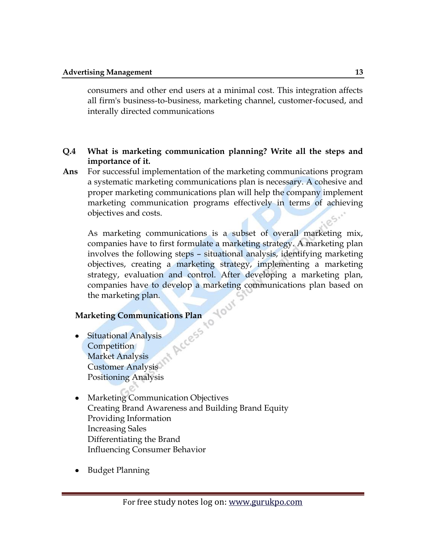consumers and other end users at a minimal cost. This integration affects all firm's business-to-business, marketing channel, customer-focused, and interally directed communications

#### **Q.4 What is marketing communication planning? Write all the steps and importance of it.**

**Ans** For successful implementation of the marketing communications program a systematic marketing communications plan is necessary. A cohesive and proper marketing communications plan will help the company implement marketing communication programs effectively in terms of achieving objectives and costs.

As marketing communications is a subset of overall marketing mix, companies have to first formulate a marketing strategy. A marketing plan involves the following steps – situational analysis, identifying marketing objectives, creating a marketing strategy, implementing a marketing strategy, evaluation and control. After developing a marketing plan, companies have to develop a marketing communications plan based on the marketing plan. Your

- **Marketing Communications Plan**<br>• Situational Analysis<br>Competition Situational Analysis Competition Market Analysis Customer Analysis Positioning Analysis
- Marketing Communication Objectives  $\bullet$ Creating Brand Awareness and Building Brand Equity Providing Information Increasing Sales Differentiating the Brand Influencing Consumer Behavior
- Budget Planning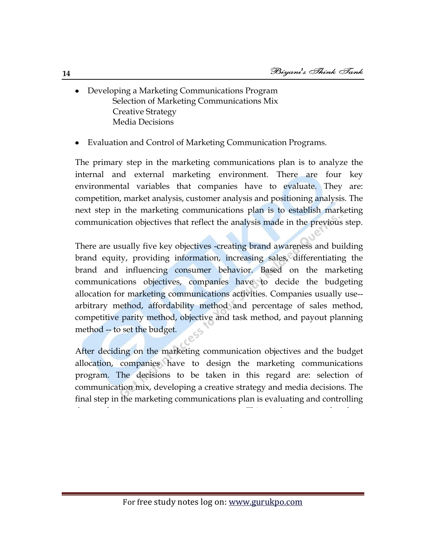- Developing a Marketing Communications Program Selection of Marketing Communications Mix Creative Strategy Media Decisions
- Evaluation and Control of Marketing Communication Programs.

The primary step in the marketing communications plan is to analyze the internal and external marketing environment. There are four key environmental variables that companies have to evaluate. They are: competition, market analysis, customer analysis and positioning analysis. The next step in the marketing communications plan is to establish marketing communication objectives that reflect the analysis made in the previous step.

There are usually five key objectives -creating brand awareness and building brand equity, providing information, increasing sales, differentiating the brand and influencing consumer behavior. Based on the marketing communications objectives, companies have to decide the budgeting allocation for marketing communications activities. Companies usually use- arbitrary method, affordability method and percentage of sales method, competitive parity method, objective and task method, and payout planning method -- to set the budget.

After deciding on the marketing communication objectives and the budget allocation, companies have to design the marketing communications program. The decisions to be taken in this regard are: selection of communication mix, developing a creative strategy and media decisions. The final step in the marketing communications plan is evaluating and controlling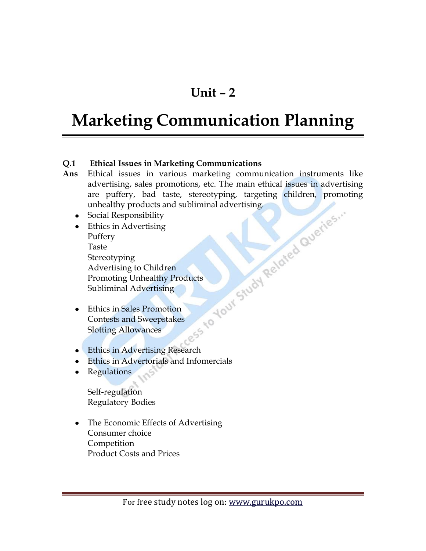### **Unit – 2**

# **Marketing Communication Planning**

#### **Q.1 Ethical Issues in Marketing Communications**

- **Ans** Ethical issues in various marketing communication instruments like are puffery, bad taste, stereotyping, targeting children, promoting unhealthy products and subliminal advertising.
	- Social Responsibility
	- advertising, sales promotions, etc. The main ethical issues in advertising<br>
	are puffery, bad taste, stereotyping, targeting children, promoting<br>
	unhealthy products and subliminal advertising.<br>
	Ethics in Advertising<br>
	Puffer Ethics in Advertising Puffery Taste Stereotyping Advertising to Children Promoting Unhealthy Products Subliminal Advertising
	- Ethics in Sales Promotion  $\bullet$ Contests and Sweepstakes Slotting Allowances
	- **Ethics in Advertising Research**
	- Ethics in Advertorials and Infomercials
	- Regulations

Self-regulation Regulatory Bodies

• The Economic Effects of Advertising Consumer choice Competition Product Costs and Prices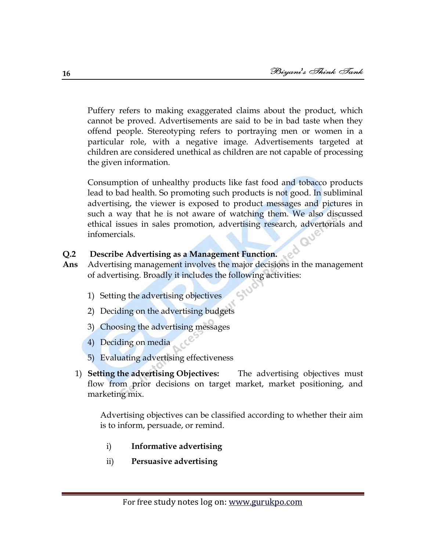Puffery refers to making exaggerated claims about the product, which cannot be proved. Advertisements are said to be in bad taste when they offend people. Stereotyping refers to portraying men or women in a particular role, with a negative image. Advertisements targeted at children are considered unethical as children are not capable of processing the given information.

Consumption of unhealthy products like fast food and tobacco products lead to bad health. So promoting such products is not good. In subliminal advertising, the viewer is exposed to product messages and pictures in such a way that he is not aware of watching them. We also discussed ethical issues in sales promotion, advertising research, advertorials and infomercials.

#### **Q.2 Describe Advertising as a Management Function.**

- **Ans** Advertising management involves the major decisions in the management of advertising. Broadly it includes the following activities:
	- 1) Setting the advertising objectives
	- 2) Deciding on the advertising budgets
	- 3) Choosing the advertising messages
	- 4) Deciding on media
	- 5) Evaluating advertising effectiveness
	- 1) **Setting the advertising Objectives:** The advertising objectives must flow from prior decisions on target market, market positioning, and marketing mix.

Advertising objectives can be classified according to whether their aim is to inform, persuade, or remind.

- i) **Informative advertising**
- ii) **Persuasive advertising**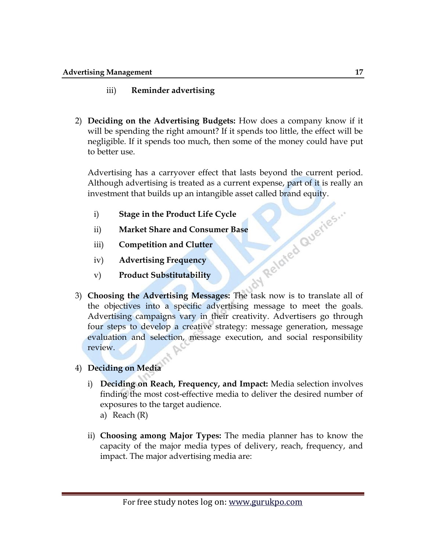#### iii) **Reminder advertising**

2) **Deciding on the Advertising Budgets:** How does a company know if it will be spending the right amount? If it spends too little, the effect will be negligible. If it spends too much, then some of the money could have put to better use.

Advertising has a carryover effect that lasts beyond the current period. Although advertising is treated as a current expense, part of it is really an investment that builds up an intangible asset called brand equity.<br>
i) Stage in the Product Life Cycle<br>
ii) Market Share and Consumer Base<br>
iii) Competition and Clutter<br>
iv) Advertising Frequency<br>
v) Product e-

- i) **Stage in the Product Life Cycle**
- ii) **Market Share and Consumer Base**
- iii) **Competition and Clutter**
- iv) **Advertising Frequency**
- v) **Product Substitutability**
- 3) **Choosing the Advertising Messages:** The task now is to translate all of the objectives into a specific advertising message to meet the goals. Advertising campaigns vary in their creativity. Advertisers go through four steps to develop a creative strategy: message generation, message evaluation and selection, message execution, and social responsibility review.
- 4) **Deciding on Media**
	- i) **Deciding on Reach, Frequency, and Impact:** Media selection involves finding the most cost-effective media to deliver the desired number of exposures to the target audience.
		- a) Reach (R)
	- ii) **Choosing among Major Types:** The media planner has to know the capacity of the major media types of delivery, reach, frequency, and impact. The major advertising media are: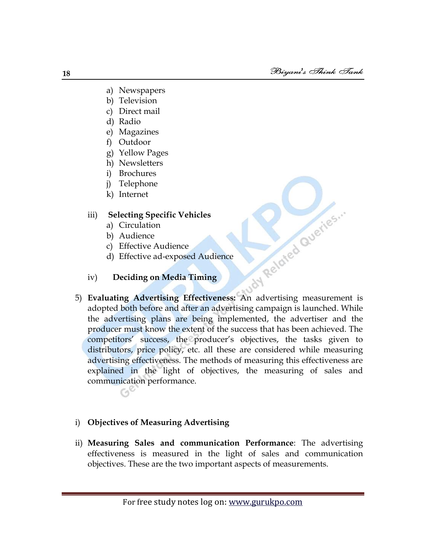- a) Newspapers
- b) Television
- c) Direct mail
- d) Radio
- e) Magazines
- f) Outdoor
- g) Yellow Pages
- h) Newsletters
- i) Brochures
- j) Telephone
- k) Internet

#### iii) **Selecting Specific Vehicles**

- a) Circulation
- b) Audience
- c) Effective Audience
- d) Effective ad-exposed Audience
- iv) **Deciding on Media Timing**
- Audience<br>
5) Evaluating Advertising Effectiveness: An advertising measurement is<br>
5) Evaluating Advertising Effectiveness: An advertising measurement is adopted both before and after an advertising campaign is launched. While the advertising plans are being implemented, the advertiser and the producer must know the extent of the success that has been achieved. The competitors' success, the producer's objectives, the tasks given to distributors, price policy, etc. all these are considered while measuring advertising effectiveness. The methods of measuring this effectiveness are explained in the light of objectives, the measuring of sales and communication performance.

#### i) **Objectives of Measuring Advertising**

ii) **Measuring Sales and communication Performance**: The advertising effectiveness is measured in the light of sales and communication objectives. These are the two important aspects of measurements.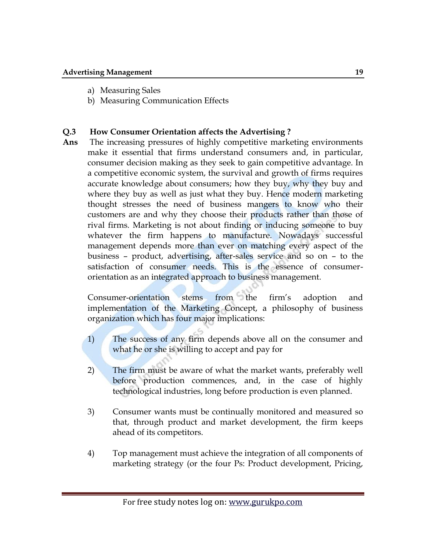- a) Measuring Sales
- b) Measuring Communication Effects

#### **Q.3 How Consumer Orientation affects the Advertising ?**

**Ans** The increasing pressures of highly competitive marketing environments make it essential that firms understand consumers and, in particular, consumer decision making as they seek to gain competitive advantage. In a competitive economic system, the survival and growth of firms requires accurate knowledge about consumers; how they buy, why they buy and where they buy as well as just what they buy. Hence modern marketing thought stresses the need of business mangers to know who their customers are and why they choose their products rather than those of rival firms. Marketing is not about finding or inducing someone to buy whatever the firm happens to manufacture. Nowadays successful management depends more than ever on matching every aspect of the business – product, advertising, after-sales service and so on – to the satisfaction of consumer needs. This is the essence of consumerorientation as an integrated approach to business management.

Consumer-orientation stems from the firm's adoption and implementation of the Marketing Concept, a philosophy of business organization which has four major implications:

- 1) The success of any firm depends above all on the consumer and what he or she is willing to accept and pay for
- 2) The firm must be aware of what the market wants, preferably well before production commences, and, in the case of highly technological industries, long before production is even planned.
- 3) Consumer wants must be continually monitored and measured so that, through product and market development, the firm keeps ahead of its competitors.
- 4) Top management must achieve the integration of all components of marketing strategy (or the four Ps: Product development, Pricing,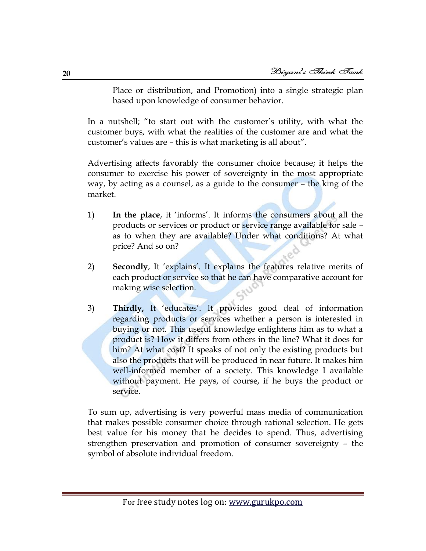Place or distribution, and Promotion) into a single strategic plan based upon knowledge of consumer behavior.

In a nutshell; "to start out with the customer's utility, with what the customer buys, with what the realities of the customer are and what the customer's values are – this is what marketing is all about".

Advertising affects favorably the consumer choice because; it helps the consumer to exercise his power of sovereignty in the most appropriate way, by acting as a counsel, as a guide to the consumer – the king of the market.

- 1) **In the place**, it ‗informs'. It informs the consumers about all the products or services or product or service range available for sale – as to when they are available? Under what conditions? At what price? And so on?
- 2) **Secondly**, It 'explains'. It explains the features relative merits of each product or service so that he can have comparative account for making wise selection.
- 3) **Thirdly,** It ‗educates'. It provides good deal of information regarding products or services whether a person is interested in buying or not. This useful knowledge enlightens him as to what a product is? How it differs from others in the line? What it does for him? At what cost? It speaks of not only the existing products but also the products that will be produced in near future. It makes him well-informed member of a society. This knowledge I available without payment. He pays, of course, if he buys the product or service.

To sum up, advertising is very powerful mass media of communication that makes possible consumer choice through rational selection. He gets best value for his money that he decides to spend. Thus, advertising strengthen preservation and promotion of consumer sovereignty – the symbol of absolute individual freedom.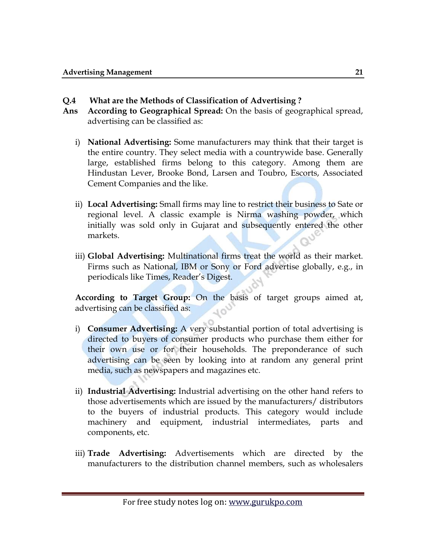#### **Q.4 What are the Methods of Classification of Advertising ?**

- **Ans According to Geographical Spread:** On the basis of geographical spread, advertising can be classified as:
	- i) **National Advertising:** Some manufacturers may think that their target is the entire country. They select media with a countrywide base. Generally large, established firms belong to this category. Among them are Hindustan Lever, Brooke Bond, Larsen and Toubro, Escorts, Associated Cement Companies and the like.
	- ii) **Local Advertising:** Small firms may line to restrict their business to Sate or regional level. A classic example is Nirma washing powder, which initially was sold only in Gujarat and subsequently entered the other markets.
	- iii) **Global Advertising:** Multinational firms treat the world as their market. Firms such as National, IBM or Sony or Ford advertise globally, e.g., in periodicals like Times, Reader's Digest.

**According to Target Group:** On the basis of target groups aimed at, advertising can be classified as:

- i) **Consumer Advertising:** A very substantial portion of total advertising is directed to buyers of consumer products who purchase them either for their own use or for their households. The preponderance of such advertising can be seen by looking into at random any general print media, such as newspapers and magazines etc.
- ii) **Industrial Advertising:** Industrial advertising on the other hand refers to those advertisements which are issued by the manufacturers/ distributors to the buyers of industrial products. This category would include machinery and equipment, industrial intermediates, parts and components, etc.
- iii) **Trade Advertising:** Advertisements which are directed by the manufacturers to the distribution channel members, such as wholesalers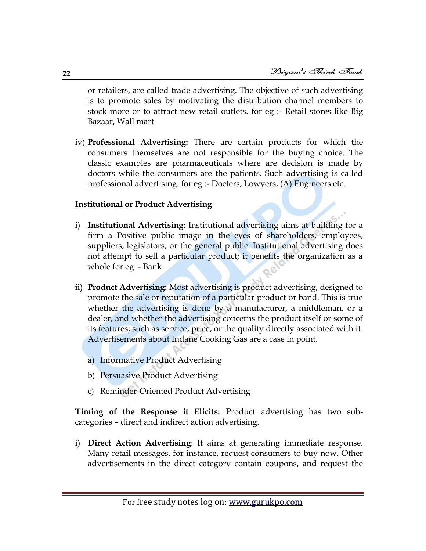or retailers, are called trade advertising. The objective of such advertising is to promote sales by motivating the distribution channel members to stock more or to attract new retail outlets. for eg :- Retail stores like Big Bazaar, Wall mart

iv) **Professional Advertising:** There are certain products for which the consumers themselves are not responsible for the buying choice. The classic examples are pharmaceuticals where are decision is made by doctors while the consumers are the patients. Such advertising is called professional advertising. for eg :- Docters, Lowyers, (A) Engineers etc.

#### **Institutional or Product Advertising**

- i) **Institutional Advertising:** Institutional advertising aims at building for a firm a Positive public image in the eyes of shareholders, employees, suppliers, legislators, or the general public. Institutional advertising does not attempt to sell a particular product; it benefits the organization as a whole for eg :- Bank
- ii) **Product Advertising:** Most advertising is product advertising, designed to promote the sale or reputation of a particular product or band. This is true whether the advertising is done by a manufacturer, a middleman, or a dealer, and whether the advertising concerns the product itself or some of its features; such as service, price, or the quality directly associated with it. Advertisements about Indane Cooking Gas are a case in point.
	- a) Informative Product Advertising
	- b) Persuasive Product Advertising
	- c) Reminder-Oriented Product Advertising

**Timing of the Response it Elicits:** Product advertising has two subcategories – direct and indirect action advertising.

i) **Direct Action Advertising**: It aims at generating immediate response. Many retail messages, for instance, request consumers to buy now. Other advertisements in the direct category contain coupons, and request the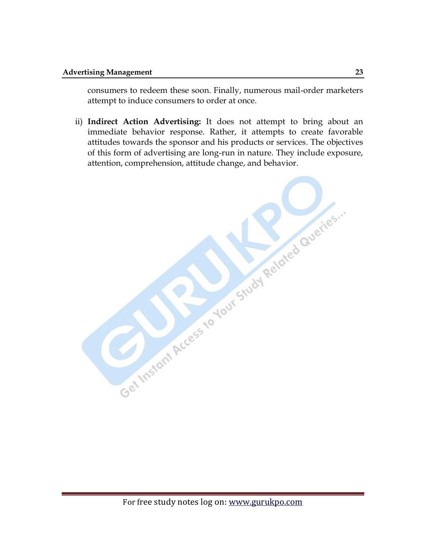consumers to redeem these soon. Finally, numerous mail-order marketers attempt to induce consumers to order at once.

ii) **Indirect Action Advertising:** It does not attempt to bring about an immediate behavior response. Rather, it attempts to create favorable attitudes towards the sponsor and his products or services. The objectives of this form of advertising are long-run in nature. They include exposure, attention, comprehension, attitude change, and behavior.

Get Instant Access to Your Study Related Queries."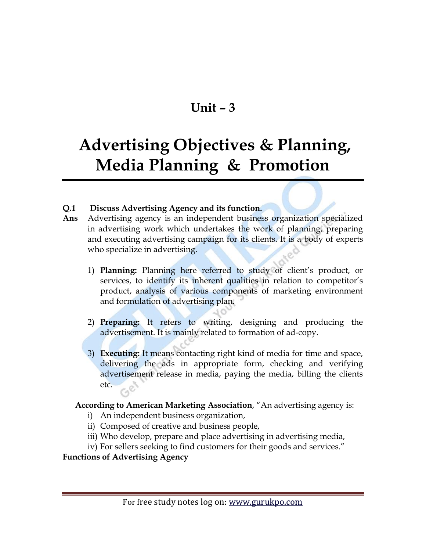### **Unit – 3**

## **Advertising Objectives & Planning, Media Planning & Promotion**

#### **Q.1 Discuss Advertising Agency and its function.**

- **Ans** Advertising agency is an independent business organization specialized in advertising work which undertakes the work of planning, preparing and executing advertising campaign for its clients. It is a body of experts who specialize in advertising.
	- 1) **Planning:** Planning here referred to study of client's product, or services, to identify its inherent qualities in relation to competitor's product, analysis of various components of marketing environment and formulation of advertising plan.
	- 2) **Preparing:** It refers to writing, designing and producing the advertisement. It is mainly related to formation of ad-copy.
	- 3) **Executing:** It means contacting right kind of media for time and space, delivering the ads in appropriate form, checking and verifying advertisement release in media, paying the media, billing the clients etc.

#### **According to American Marketing Association**, "An advertising agency is:

- i) An independent business organization,
- ii) Composed of creative and business people,
- iii) Who develop, prepare and place advertising in advertising media,
- iv) For sellers seeking to find customers for their goods and services."

#### **Functions of Advertising Agency**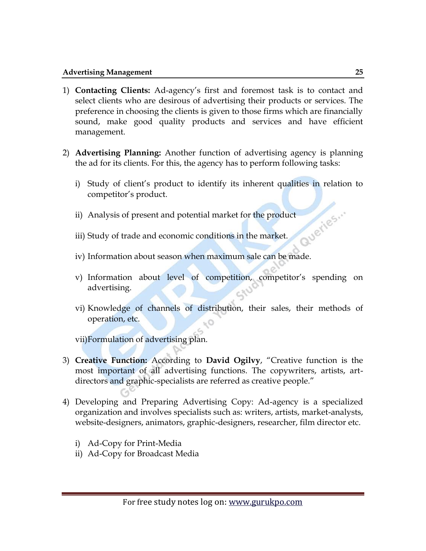- 1) **Contacting Clients:** Ad-agency's first and foremost task is to contact and select clients who are desirous of advertising their products or services. The preference in choosing the clients is given to those firms which are financially sound, make good quality products and services and have efficient management.
- 2) **Advertising Planning:** Another function of advertising agency is planning the ad for its clients. For this, the agency has to perform following tasks:
	- i) Study of client's product to identify its inherent qualities in relation to competitor's product.
	- Queries... ii) Analysis of present and potential market for the product
	- iii) Study of trade and economic conditions in the market.
	- iv) Information about season when maximum sale can be made.
	- v) Information about level of competition, competitor's spending on advertising.
	- vi) Knowledge of channels of distribution, their sales, their methods of operation, etc.

vii)Formulation of advertising plan.

- 3) **Creative Function:** According to **David Ogilvy**, "Creative function is the most important of all advertising functions. The copywriters, artists, artdirectors and graphic-specialists are referred as creative people."
- 4) Developing and Preparing Advertising Copy: Ad-agency is a specialized organization and involves specialists such as: writers, artists, market-analysts, website-designers, animators, graphic-designers, researcher, film director etc.
	- i) Ad-Copy for Print-Media
	- ii) Ad-Copy for Broadcast Media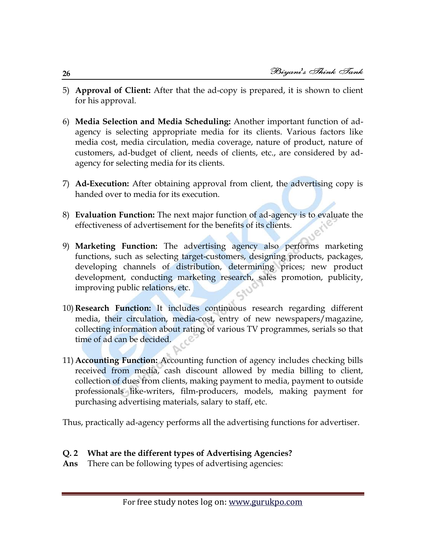- 5) **Approval of Client:** After that the ad-copy is prepared, it is shown to client for his approval.
- 6) **Media Selection and Media Scheduling:** Another important function of adagency is selecting appropriate media for its clients. Various factors like media cost, media circulation, media coverage, nature of product, nature of customers, ad-budget of client, needs of clients, etc., are considered by adagency for selecting media for its clients.
- 7) **Ad-Execution:** After obtaining approval from client, the advertising copy is handed over to media for its execution.
- 8) **Evaluation Function:** The next major function of ad-agency is to evaluate the effectiveness of advertisement for the benefits of its clients.
- 9) **Marketing Function:** The advertising agency also performs marketing functions, such as selecting target-customers, designing products, packages, developing channels of distribution, determining prices; new product development, conducting marketing research, sales promotion, publicity, improving public relations, etc.
- 10) **Research Function:** It includes continuous research regarding different media, their circulation, media-cost, entry of new newspapers/magazine, collecting information about rating of various TV programmes, serials so that time of ad can be decided.
- 11) **Accounting Function:** Accounting function of agency includes checking bills received from media, cash discount allowed by media billing to client, collection of dues from clients, making payment to media, payment to outside professionals like-writers, film-producers, models, making payment for purchasing advertising materials, salary to staff, etc.

Thus, practically ad-agency performs all the advertising functions for advertiser.

#### **Q. 2 What are the different types of Advertising Agencies?**

**Ans** There can be following types of advertising agencies: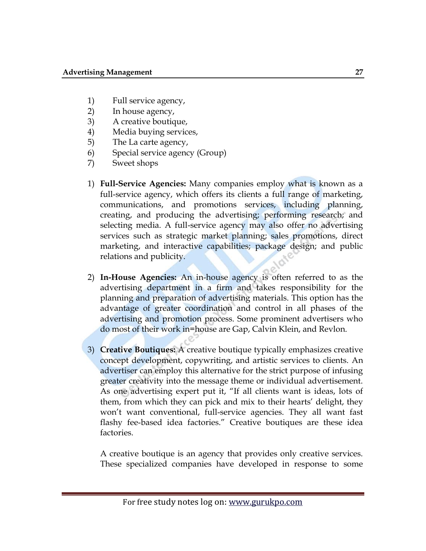- 1) Full service agency,
- 2) In house agency,
- 3) A creative boutique,
- 4) Media buying services,
- 5) The La carte agency,
- 6) Special service agency (Group)
- 7) Sweet shops
- 1) **Full-Service Agencies:** Many companies employ what is known as a full-service agency, which offers its clients a full range of marketing, communications, and promotions services, including planning, creating, and producing the advertising; performing research; and selecting media. A full-service agency may also offer no advertising services such as strategic market planning; sales promotions, direct marketing, and interactive capabilities; package design; and public relations and publicity.
- 2) **In-House Agencies:** An in-house agency is often referred to as the advertising department in a firm and takes responsibility for the planning and preparation of advertising materials. This option has the advantage of greater coordination and control in all phases of the advertising and promotion process. Some prominent advertisers who do most of their work in=house are Gap, Calvin Klein, and Revlon.
- 3) **Creative Boutiques:** A creative boutique typically emphasizes creative concept development, copywriting, and artistic services to clients. An advertiser can employ this alternative for the strict purpose of infusing greater creativity into the message theme or individual advertisement. As one advertising expert put it, "If all clients want is ideas, lots of them, from which they can pick and mix to their hearts' delight, they won't want conventional, full-service agencies. They all want fast flashy fee-based idea factories." Creative boutiques are these idea factories.

A creative boutique is an agency that provides only creative services. These specialized companies have developed in response to some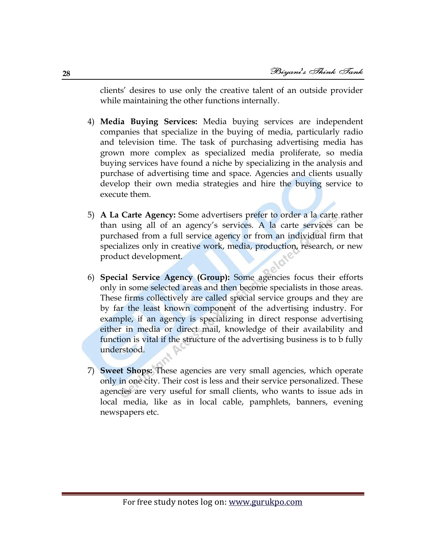clients' desires to use only the creative talent of an outside provider while maintaining the other functions internally.

- 4) **Media Buying Services:** Media buying services are independent companies that specialize in the buying of media, particularly radio and television time. The task of purchasing advertising media has grown more complex as specialized media proliferate, so media buying services have found a niche by specializing in the analysis and purchase of advertising time and space. Agencies and clients usually develop their own media strategies and hire the buying service to execute them.
- 5) **A La Carte Agency:** Some advertisers prefer to order a la carte rather than using all of an agency's services. A la carte services can be purchased from a full service agency or from an individual firm that specializes only in creative work, media, production, research, or new product development.
- 6) **Special Service Agency (Group):** Some agencies focus their efforts only in some selected areas and then become specialists in those areas. These firms collectively are called special service groups and they are by far the least known component of the advertising industry. For example, if an agency is specializing in direct response advertising either in media or direct mail, knowledge of their availability and function is vital if the structure of the advertising business is to b fully understood.
- 7) **Sweet Shops:** These agencies are very small agencies, which operate only in one city. Their cost is less and their service personalized. These agencies are very useful for small clients, who wants to issue ads in local media, like as in local cable, pamphlets, banners, evening newspapers etc.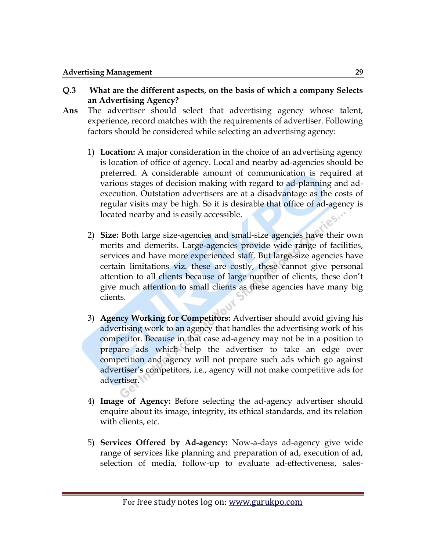- **Q.3 What are the different aspects, on the basis of which a company Selects an Advertising Agency?**
- **Ans** The advertiser should select that advertising agency whose talent, experience, record matches with the requirements of advertiser. Following factors should be considered while selecting an advertising agency:
	- 1) **Location:** A major consideration in the choice of an advertising agency is location of office of agency. Local and nearby ad-agencies should be preferred. A considerable amount of communication is required at various stages of decision making with regard to ad-planning and adexecution. Outstation advertisers are at a disadvantage as the costs of regular visits may be high. So it is desirable that office of ad-agency is located nearby and is easily accessible.
	- 2) **Size:** Both large size-agencies and small-size agencies have their own merits and demerits. Large-agencies provide wide range of facilities, services and have more experienced staff. But large-size agencies have certain limitations viz. these are costly, these cannot give personal attention to all clients because of large number of clients, these don't give much attention to small clients as these agencies have many big clients.
	- 3) **Agency Working for Competitors:** Advertiser should avoid giving his advertising work to an agency that handles the advertising work of his competitor. Because in that case ad-agency may not be in a position to prepare ads which help the advertiser to take an edge over competition and agency will not prepare such ads which go against advertiser's competitors, i.e., agency will not make competitive ads for advertiser.
	- 4) **Image of Agency:** Before selecting the ad-agency advertiser should enquire about its image, integrity, its ethical standards, and its relation with clients, etc.
	- 5) **Services Offered by Ad-agency:** Now-a-days ad-agency give wide range of services like planning and preparation of ad, execution of ad, selection of media, follow-up to evaluate ad-effectiveness, sales-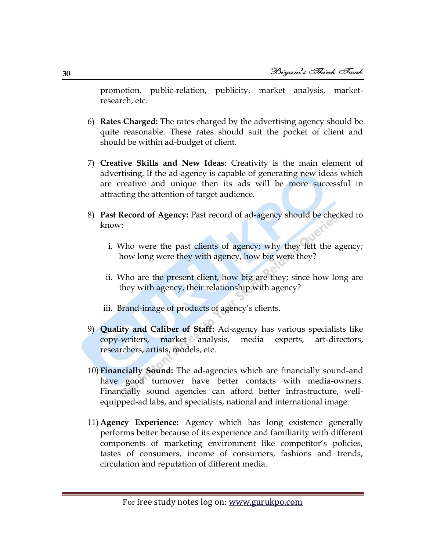promotion, public-relation, publicity, market analysis, marketresearch, etc.

- 6) **Rates Charged:** The rates charged by the advertising agency should be quite reasonable. These rates should suit the pocket of client and should be within ad-budget of client.
- 7) **Creative Skills and New Ideas:** Creativity is the main element of advertising. If the ad-agency is capable of generating new ideas which are creative and unique then its ads will be more successful in attracting the attention of target audience.
- 8) **Past Record of Agency:** Past record of ad-agency should be checked to know:
	- i. Who were the past clients of agency; why they left the agency; how long were they with agency, how big were they?
	- ii. Who are the present client, how big are they; since how long are they with agency, their relationship with agency?
	- iii. Brand-image of products of agency's clients.
- 9) **Quality and Caliber of Staff:** Ad-agency has various specialists like copy-writers, market analysis, media experts, art-directors, researchers, artists, models, etc.
- 10) **Financially Sound:** The ad-agencies which are financially sound-and have good turnover have better contacts with media-owners. Financially sound agencies can afford better infrastructure, wellequipped-ad labs, and specialists, national and international image.
- 11) **Agency Experience:** Agency which has long existence generally performs better because of its experience and familiarity with different components of marketing environment like competitor's policies, tastes of consumers, income of consumers, fashions and trends, circulation and reputation of different media.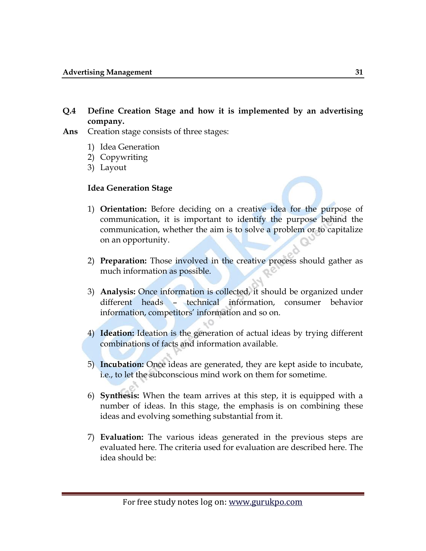#### **Q.4 Define Creation Stage and how it is implemented by an advertising company.**

- **Ans** Creation stage consists of three stages:
	- 1) Idea Generation
	- 2) Copywriting
	- 3) Layout

#### **Idea Generation Stage**

- 1) **Orientation:** Before deciding on a creative idea for the purpose of communication, it is important to identify the purpose behind the communication, whether the aim is to solve a problem or to capitalize on an opportunity.
- 2) **Preparation:** Those involved in the creative process should gather as much information as possible.
- 3) **Analysis:** Once information is collected, it should be organized under different heads – technical information, consumer behavior information, competitors' information and so on.
- 4) **Ideation:** Ideation is the generation of actual ideas by trying different combinations of facts and information available.
- 5) **Incubation:** Once ideas are generated, they are kept aside to incubate, i.e., to let the subconscious mind work on them for sometime.
- 6) **Synthesis:** When the team arrives at this step, it is equipped with a number of ideas. In this stage, the emphasis is on combining these ideas and evolving something substantial from it.
- 7) **Evaluation:** The various ideas generated in the previous steps are evaluated here. The criteria used for evaluation are described here. The idea should be: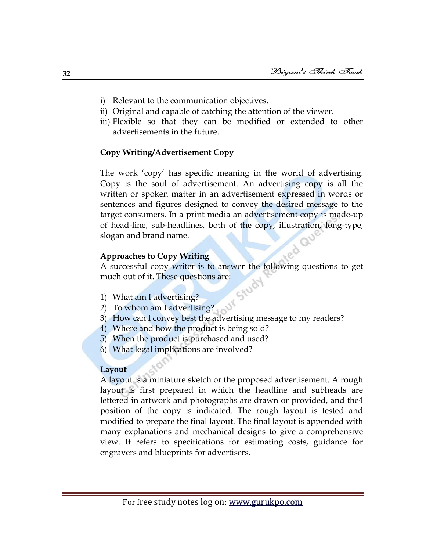- i) Relevant to the communication objectives.
- ii) Original and capable of catching the attention of the viewer.
- iii) Flexible so that they can be modified or extended to other advertisements in the future.

#### **Copy Writing/Advertisement Copy**

The work ‗copy' has specific meaning in the world of advertising. Copy is the soul of advertisement. An advertising copy is all the written or spoken matter in an advertisement expressed in words or sentences and figures designed to convey the desired message to the target consumers. In a print media an advertisement copy is made-up of head-line, sub-headlines, both of the copy, illustration, long-type, slogan and brand name.

#### **Approaches to Copy Writing**

A successful copy writer is to answer the following questions to get much out of it. These questions are:<br>
1) What am I advertising?<br>
2) To whom

- 1) What am I advertising?
- 2) To whom am I advertising?
- 3) How can I convey best the advertising message to my readers?
- 4) Where and how the product is being sold?
- 5) When the product is purchased and used?
- 6) What legal implications are involved?

#### **Layout**

A layout is a miniature sketch or the proposed advertisement. A rough layout is first prepared in which the headline and subheads are lettered in artwork and photographs are drawn or provided, and the4 position of the copy is indicated. The rough layout is tested and modified to prepare the final layout. The final layout is appended with many explanations and mechanical designs to give a comprehensive view. It refers to specifications for estimating costs, guidance for engravers and blueprints for advertisers.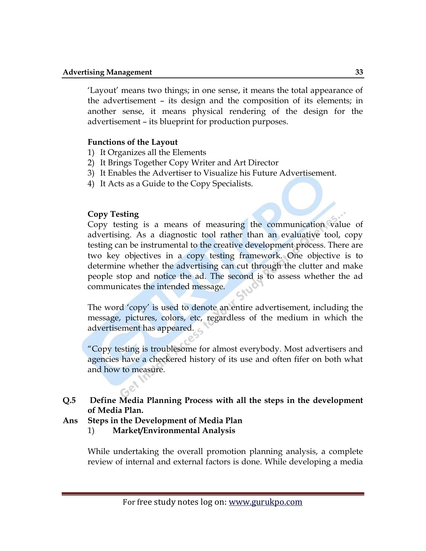‗Layout' means two things; in one sense, it means the total appearance of the advertisement – its design and the composition of its elements; in another sense, it means physical rendering of the design for the advertisement – its blueprint for production purposes.

#### **Functions of the Layout**

- 1) It Organizes all the Elements
- 2) It Brings Together Copy Writer and Art Director
- 3) It Enables the Advertiser to Visualize his Future Advertisement.
- 4) It Acts as a Guide to the Copy Specialists.

#### **Copy Testing**

Copy testing is a means of measuring the communication value of advertising. As a diagnostic tool rather than an evaluative tool, copy testing can be instrumental to the creative development process. There are two key objectives in a copy testing framework. One objective is to determine whether the advertising can cut through the clutter and make people stop and notice the ad. The second is to assess whether the ad communicates the intended message.

The word 'copy' is used to denote an entire advertisement, including the message, pictures, colors, etc, regardless of the medium in which the advertisement has appeared.

―Copy testing is troublesome for almost everybody. Most advertisers and agencies have a checkered history of its use and often fifer on both what and how to measure.

#### **Q.5 Define Media Planning Process with all the steps in the development of Media Plan.**

- **Ans Steps in the Development of Media Plan**
	- 1) **Market/Environmental Analysis**

While undertaking the overall promotion planning analysis, a complete review of internal and external factors is done. While developing a media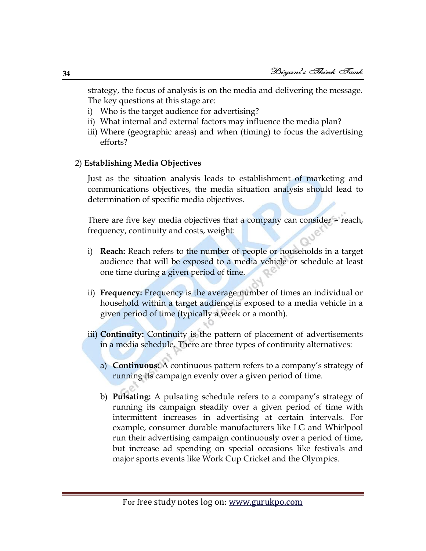strategy, the focus of analysis is on the media and delivering the message. The key questions at this stage are:

- i) Who is the target audience for advertising?
- ii) What internal and external factors may influence the media plan?
- iii) Where (geographic areas) and when (timing) to focus the advertising efforts?

#### 2) **Establishing Media Objectives**

Just as the situation analysis leads to establishment of marketing and communications objectives, the media situation analysis should lead to determination of specific media objectives.

There are five key media objectives that a company can consider – reach, frequency, continuity and costs, weight:

- i) **Reach:** Reach refers to the number of people or households in a target audience that will be exposed to a media vehicle or schedule at least one time during a given period of time.
- ii) **Frequency:** Frequency is the average number of times an individual or household within a target audience is exposed to a media vehicle in a given period of time (typically a week or a month).
- iii) **Continuity:** Continuity is the pattern of placement of advertisements in a media schedule. There are three types of continuity alternatives:
	- a) **Continuous:** A continuous pattern refers to a company's strategy of running its campaign evenly over a given period of time.
	- b) **Pulsating:** A pulsating schedule refers to a company's strategy of running its campaign steadily over a given period of time with intermittent increases in advertising at certain intervals. For example, consumer durable manufacturers like LG and Whirlpool run their advertising campaign continuously over a period of time, but increase ad spending on special occasions like festivals and major sports events like Work Cup Cricket and the Olympics.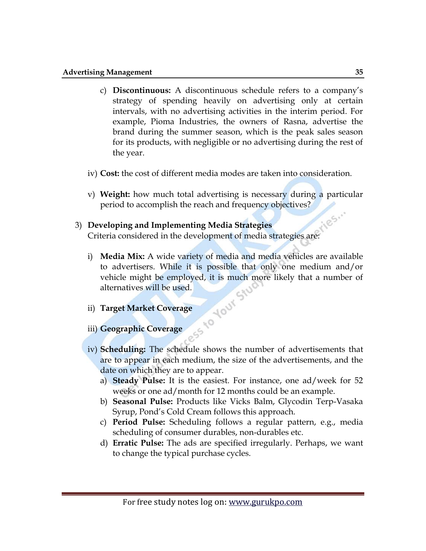- c) **Discontinuous:** A discontinuous schedule refers to a company's strategy of spending heavily on advertising only at certain intervals, with no advertising activities in the interim period. For example, Pioma Industries, the owners of Rasna, advertise the brand during the summer season, which is the peak sales season for its products, with negligible or no advertising during the rest of the year.
- iv) **Cost:** the cost of different media modes are taken into consideration.
- v) **Weight:** how much total advertising is necessary during a particular period to accomplish the reach and frequency objectives?

# 3) **Developing and Implementing Media Strategies** T<sub>riteria</sub> called in the development of media strategies are:<br>
i) Media Min A

- i) **Media Mix:** A wide variety of media and media vehicles are available to advertisers. While it is possible that only one medium and/or vehicle might be employed, it is much more likely that a number of alternatives will be used. **HOUTSIU**
- 
- ii) **Target Market Coverage** iii) **Geographic Coverage**
- iv) **Scheduling:** The schedule shows the number of advertisements that are to appear in each medium, the size of the advertisements, and the date on which they are to appear.
	- a) **Steady Pulse:** It is the easiest. For instance, one ad/week for 52 weeks or one ad/month for 12 months could be an example.
	- b) **Seasonal Pulse:** Products like Vicks Balm, Glycodin Terp-Vasaka Syrup, Pond's Cold Cream follows this approach.
	- c) **Period Pulse:** Scheduling follows a regular pattern, e.g., media scheduling of consumer durables, non-durables etc.
	- d) **Erratic Pulse:** The ads are specified irregularly. Perhaps, we want to change the typical purchase cycles.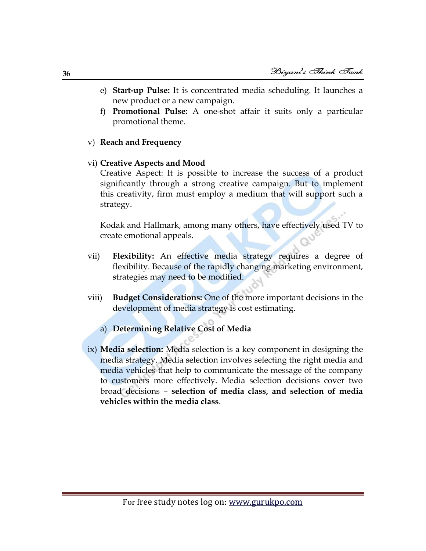- e) **Start-up Pulse:** It is concentrated media scheduling. It launches a new product or a new campaign.
- f) **Promotional Pulse:** A one-shot affair it suits only a particular promotional theme.

#### v) **Reach and Frequency**

vi) **Creative Aspects and Mood**

Creative Aspect: It is possible to increase the success of a product significantly through a strong creative campaign. But to implement this creativity, firm must employ a medium that will support such a strategy.

Kodak and Hallmark, among many others, have effectively used TV to create emotional appeals.

- vii) **Flexibility:** An effective media strategy requires a degree of flexibility. Because of the rapidly changing marketing environment, strategies may need to be modified.
- viii) **Budget Considerations:** One of the more important decisions in the development of media strategy is cost estimating.
	- a) **Determining Relative Cost of Media**
- ix) **Media selection:** Media selection is a key component in designing the media strategy. Media selection involves selecting the right media and media vehicles that help to communicate the message of the company to customers more effectively. Media selection decisions cover two broad decisions – **selection of media class, and selection of media vehicles within the media class**.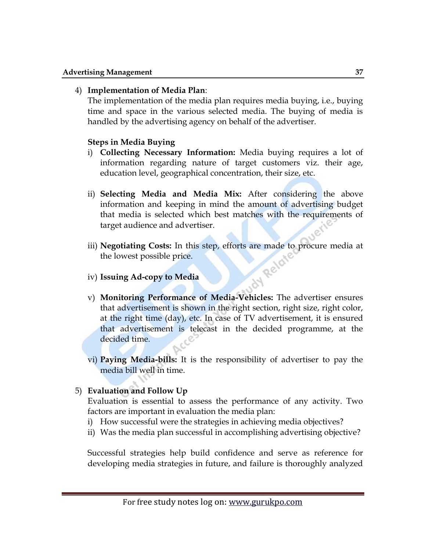## 4) **Implementation of Media Plan**:

The implementation of the media plan requires media buying, i.e., buying time and space in the various selected media. The buying of media is handled by the advertising agency on behalf of the advertiser.

## **Steps in Media Buying**

- i) **Collecting Necessary Information:** Media buying requires a lot of information regarding nature of target customers viz. their age, education level, geographical concentration, their size, etc.
- ii) **Selecting Media and Media Mix:** After considering the above information and keeping in mind the amount of advertising budget that media is selected which best matches with the requirements of target audience and advertiser.
- iii) **Negotiating Costs:** In this step, efforts are made to procure media at the lowest possible price.<br>iv) **Issuing Ad-contract in Figure** the lowest possible price.
- iv) **Issuing Ad-copy to Media**
- v) **Monitoring Performance of Media-Vehicles:** The advertiser ensures that advertisement is shown in the right section, right size, right color, at the right time (day), etc. In case of TV advertisement, it is ensured that advertisement is telecast in the decided programme, at the decided time.
- vi) **Paying Media-bills:** It is the responsibility of advertiser to pay the media bill well in time.

## 5) **Evaluation and Follow Up**

Evaluation is essential to assess the performance of any activity. Two factors are important in evaluation the media plan:

- i) How successful were the strategies in achieving media objectives?
- ii) Was the media plan successful in accomplishing advertising objective?

Successful strategies help build confidence and serve as reference for developing media strategies in future, and failure is thoroughly analyzed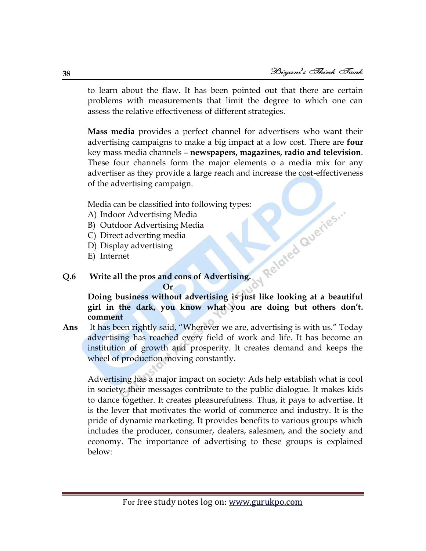N Related Queries ..

to learn about the flaw. It has been pointed out that there are certain problems with measurements that limit the degree to which one can assess the relative effectiveness of different strategies.

**Mass media** provides a perfect channel for advertisers who want their advertising campaigns to make a big impact at a low cost. There are **four** key mass media channels – **newspapers, magazines, radio and television**. These four channels form the major elements o a media mix for any advertiser as they provide a large reach and increase the cost-effectiveness of the advertising campaign.

Media can be classified into following types:

- A) Indoor Advertising Media
- B) Outdoor Advertising Media
- C) Direct adverting media
- D) Display advertising
- E) Internet

## **Q.6 Write all the pros and cons of Advertising.**

**Or**

**Doing business without advertising is just like looking at a beautiful girl in the dark, you know what you are doing but others don't. comment**

Ans It has been rightly said, "Wherever we are, advertising is with us." Today advertising has reached every field of work and life. It has become an institution of growth and prosperity. It creates demand and keeps the wheel of production moving constantly.

Advertising has a major impact on society: Ads help establish what is cool in society; their messages contribute to the public dialogue. It makes kids to dance together. It creates pleasurefulness. Thus, it pays to advertise. It is the lever that motivates the world of commerce and industry. It is the pride of dynamic marketing. It provides benefits to various groups which includes the producer, consumer, dealers, salesmen, and the society and economy. The importance of advertising to these groups is explained below: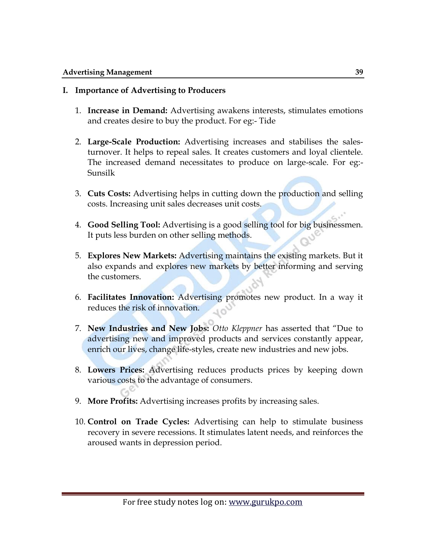## **I. Importance of Advertising to Producers**

- 1. **Increase in Demand:** Advertising awakens interests, stimulates emotions and creates desire to buy the product. For eg:- Tide
- 2. **Large-Scale Production:** Advertising increases and stabilises the salesturnover. It helps to repeal sales. It creates customers and loyal clientele. The increased demand necessitates to produce on large-scale. For eg:- Sunsilk
- 3. **Cuts Costs:** Advertising helps in cutting down the production and selling costs. Increasing unit sales decreases unit costs.
- 4. **Good Selling Tool:** Advertising is a good selling tool for big businessmen. It puts less burden on other selling methods.
- 5. **Explores New Markets:** Advertising maintains the existing markets. But it also expands and explores new markets by better informing and serving the customers.
- 6. **Facilitates Innovation:** Advertising promotes new product. In a way it reduces the risk of innovation.
- 7. **New Industries and New Jobs:** Otto Kleppner has asserted that "Due to advertising new and improved products and services constantly appear, enrich our lives, change life-styles, create new industries and new jobs.
- 8. **Lowers Prices:** Advertising reduces products prices by keeping down various costs to the advantage of consumers.
- 9. **More Profits:** Advertising increases profits by increasing sales.
- 10. **Control on Trade Cycles:** Advertising can help to stimulate business recovery in severe recessions. It stimulates latent needs, and reinforces the aroused wants in depression period.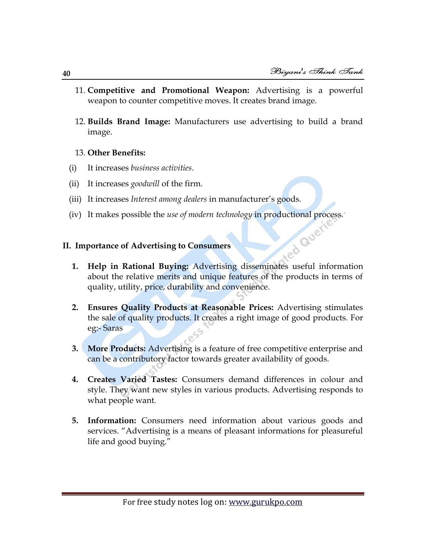- 11. **Competitive and Promotional Weapon:** Advertising is a powerful weapon to counter competitive moves. It creates brand image.
- 12. **Builds Brand Image:** Manufacturers use advertising to build a brand image.

## 13. **Other Benefits:**

- (i) It increases *business activities*.
- (ii) It increases *goodwill* of the firm.
- (iii) It increases *Interest among dealers* in manufacturer's goods.
- (iv) It makes possible the *use of modern technology* in productional process.<br>
. Importance of Advertising to Consumers

## **II. Importance of Advertising to Consumers**

- **1. Help in Rational Buying:** Advertising disseminates useful information about the relative merits and unique features of the products in terms of quality, utility, price, durability and convenience.
- **2. Ensures Quality Products at Reasonable Prices:** Advertising stimulates the sale of quality products. It creates a right image of good products. For eg:- Saras
- **3. More Products:** Advertising is a feature of free competitive enterprise and can be a contributory factor towards greater availability of goods.
- **4. Creates Varied Tastes:** Consumers demand differences in colour and style. They want new styles in various products. Advertising responds to what people want.
- **5. Information:** Consumers need information about various goods and services. "Advertising is a means of pleasant informations for pleasureful life and good buying."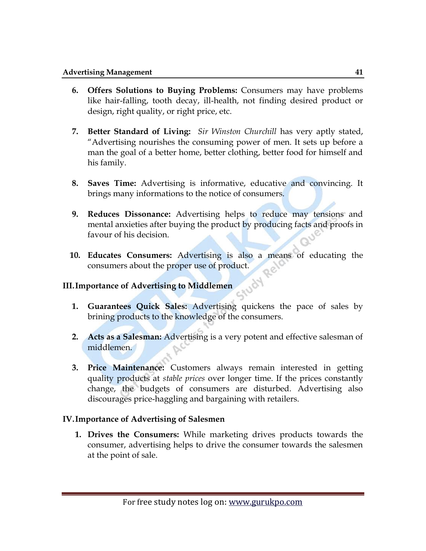- **6. Offers Solutions to Buying Problems:** Consumers may have problems like hair-falling, tooth decay, ill-health, not finding desired product or design, right quality, or right price, etc.
- **7. Better Standard of Living:** *Sir Winston Churchill* has very aptly stated, ―Advertising nourishes the consuming power of men. It sets up before a man the goal of a better home, better clothing, better food for himself and his family.
- **8. Saves Time:** Advertising is informative, educative and convincing. It brings many informations to the notice of consumers.
- **9. Reduces Dissonance:** Advertising helps to reduce may tensions and mental anxieties after buying the product by producing facts and proofs in favour of his decision.
- **10. Educates Consumers:** Advertising is also a means of educating the consumers about the proper use of product.

150%

## **III.Importance of Advertising to Middlemen**

- **1. Guarantees Quick Sales:** Advertising quickens the pace of sales by brining products to the knowledge of the consumers.
- **2. Acts as a Salesman:** Advertising is a very potent and effective salesman of middlemen.
- **3. Price Maintenance:** Customers always remain interested in getting quality products at *stable prices* over longer time. If the prices constantly change, the budgets of consumers are disturbed. Advertising also discourages price-haggling and bargaining with retailers.

## **IV.Importance of Advertising of Salesmen**

**1. Drives the Consumers:** While marketing drives products towards the consumer, advertising helps to drive the consumer towards the salesmen at the point of sale.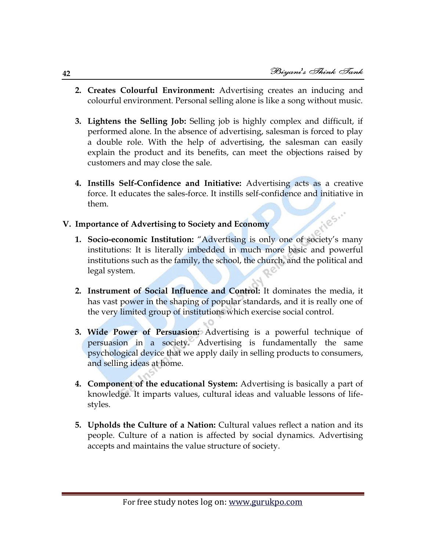- **2. Creates Colourful Environment:** Advertising creates an inducing and colourful environment. Personal selling alone is like a song without music.
- **3. Lightens the Selling Job:** Selling job is highly complex and difficult, if performed alone. In the absence of advertising, salesman is forced to play a double role. With the help of advertising, the salesman can easily explain the product and its benefits, can meet the objections raised by customers and may close the sale.
- **4. Instills Self-Confidence and Initiative:** Advertising acts as a creative force. It educates the sales-force. It instills self-confidence and initiative in them. ries."

## **V. Importance of Advertising to Society and Economy**

- **1. Socio-economic Institution:** "Advertising is only one of society's many institutions: It is literally imbedded in much more basic and powerful institutions such as the family, the school, the church, and the political and legal system.
- **2. Instrument of Social Influence and Control:** It dominates the media, it has vast power in the shaping of popular standards, and it is really one of the very limited group of institutions which exercise social control.
- **3. Wide Power of Persuasion:** Advertising is a powerful technique of persuasion in a society. Advertising is fundamentally the same psychological device that we apply daily in selling products to consumers, and selling ideas at home.
- **4. Component of the educational System:** Advertising is basically a part of knowledge. It imparts values, cultural ideas and valuable lessons of lifestyles.
- **5. Upholds the Culture of a Nation:** Cultural values reflect a nation and its people. Culture of a nation is affected by social dynamics. Advertising accepts and maintains the value structure of society.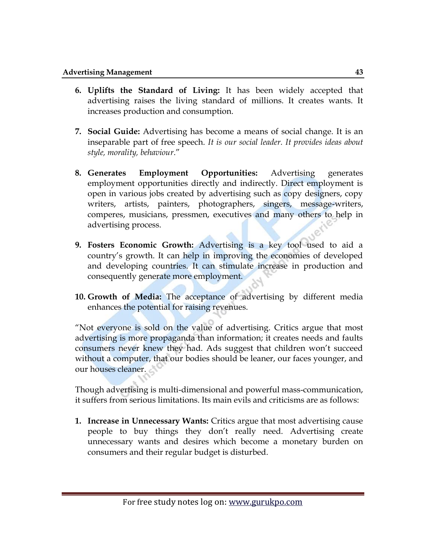- **6. Uplifts the Standard of Living:** It has been widely accepted that advertising raises the living standard of millions. It creates wants. It increases production and consumption.
- **7. Social Guide:** Advertising has become a means of social change. It is an inseparable part of free speech. *It is our social leader. It provides ideas about style, morality, behaviour*.‖
- **8. Generates Employment Opportunities:** Advertising generates employment opportunities directly and indirectly. Direct employment is open in various jobs created by advertising such as copy designers, copy writers, artists, painters, photographers, singers, message-writers, comperes, musicians, pressmen, executives and many others to help in advertising process.
- **9. Fosters Economic Growth:** Advertising is a key tool used to aid a country's growth. It can help in improving the economies of developed and developing countries. It can stimulate increase in production and consequently generate more employment.
- **10. Growth of Media:** The acceptance of advertising by different media enhances the potential for raising revenues.

―Not everyone is sold on the value of advertising. Critics argue that most advertising is more propaganda than information; it creates needs and faults consumers never knew they had. Ads suggest that children won't succeed without a computer, that our bodies should be leaner, our faces younger, and our houses cleaner.

Though advertising is multi-dimensional and powerful mass-communication, it suffers from serious limitations. Its main evils and criticisms are as follows:

**1. Increase in Unnecessary Wants:** Critics argue that most advertising cause people to buy things they don't really need. Advertising create unnecessary wants and desires which become a monetary burden on consumers and their regular budget is disturbed.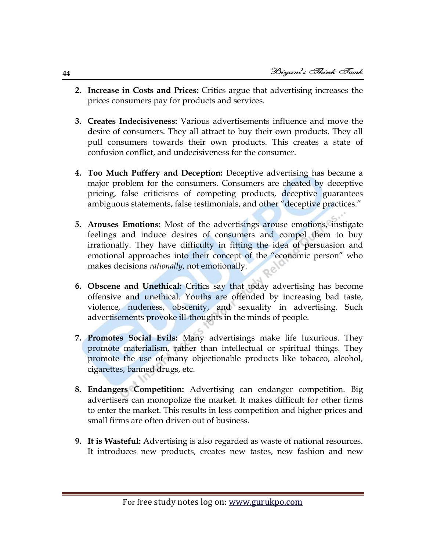- **2. Increase in Costs and Prices:** Critics argue that advertising increases the prices consumers pay for products and services.
- **3. Creates Indecisiveness:** Various advertisements influence and move the desire of consumers. They all attract to buy their own products. They all pull consumers towards their own products. This creates a state of confusion conflict, and undecisiveness for the consumer.
- **4. Too Much Puffery and Deception:** Deceptive advertising has became a major problem for the consumers. Consumers are cheated by deceptive pricing, false criticisms of competing products, deceptive guarantees ambiguous statements, false testimonials, and other "deceptive practices."
- **5. Arouses Emotions:** Most of the advertisings arouse emotions, instigate feelings and induce desires of consumers and compel them to buy irrationally. They have difficulty in fitting the idea of persuasion and emotional approaches into their concept of the "economic person" who makes decisions *rationally*, not emotionally.
- **6. Obscene and Unethical:** Critics say that today advertising has become offensive and unethical. Youths are offended by increasing bad taste, violence, nudeness, obscenity, and sexuality in advertising. Such advertisements provoke ill-thoughts in the minds of people.
- **7. Promotes Social Evils:** Many advertisings make life luxurious. They promote materialism, rather than intellectual or spiritual things. They promote the use of many objectionable products like tobacco, alcohol, cigarettes, banned drugs, etc.
- **8. Endangers Competition:** Advertising can endanger competition. Big advertisers can monopolize the market. It makes difficult for other firms to enter the market. This results in less competition and higher prices and small firms are often driven out of business.
- **9. It is Wasteful:** Advertising is also regarded as waste of national resources. It introduces new products, creates new tastes, new fashion and new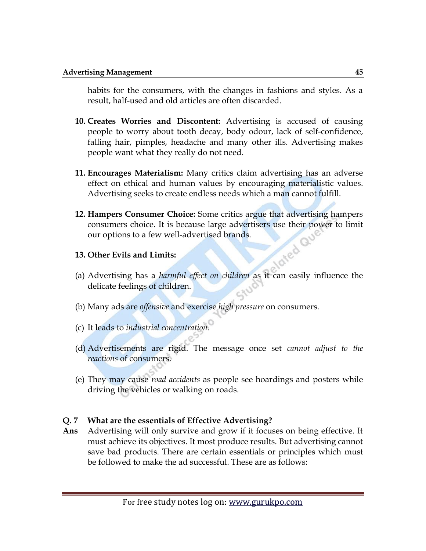habits for the consumers, with the changes in fashions and styles. As a result, half-used and old articles are often discarded.

- **10. Creates Worries and Discontent:** Advertising is accused of causing people to worry about tooth decay, body odour, lack of self-confidence, falling hair, pimples, headache and many other ills. Advertising makes people want what they really do not need.
- **11. Encourages Materialism:** Many critics claim advertising has an adverse effect on ethical and human values by encouraging materialistic values. Advertising seeks to create endless needs which a man cannot fulfill.
- **12. Hampers Consumer Choice:** Some critics argue that advertising hampers consumers choice. It is because large advertisers use their power to limit<br>our options to a few well-advertised brands.<br>Other Evils and Limits: our options to a few well-advertised brands.
- **13. Other Evils and Limits:**
- (a) Advertising has a *harmful effect on children* as it can easily influence the delicate feelings of children.
- (b) Many ads are *offensive* and exercise *high pressure* on consumers.
- (c) It leads to *industrial concentration*.
- (d) Advertisements are rigid. The message once set *cannot adjust to the reactions* of consumers.
- (e) They may cause *road accidents* as people see hoardings and posters while driving the vehicles or walking on roads.

## **Q. 7 What are the essentials of Effective Advertising?**

**Ans** Advertising will only survive and grow if it focuses on being effective. It must achieve its objectives. It most produce results. But advertising cannot save bad products. There are certain essentials or principles which must be followed to make the ad successful. These are as follows: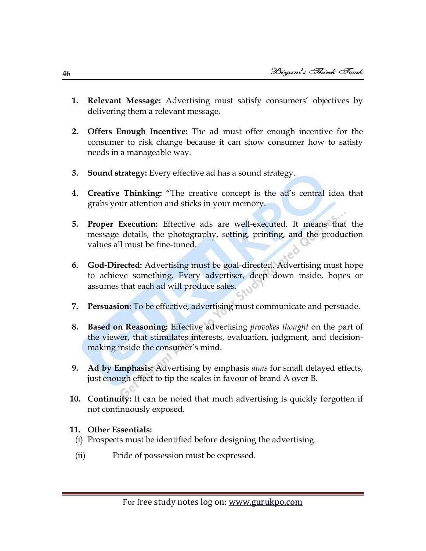- **1. Relevant Message:** Advertising must satisfy consumers' objectives by delivering them a relevant message.
- **2. Offers Enough Incentive:** The ad must offer enough incentive for the consumer to risk change because it can show consumer how to satisfy needs in a manageable way.
- **3. Sound strategy:** Every effective ad has a sound strategy.
- **4.** Creative Thinking: "The creative concept is the ad's central idea that grabs your attention and sticks in your memory.
- **5. Proper Execution:** Effective ads are well-executed. It means that the message details, the photography, setting, printing, and the production values all must be fine-tuned.
- **6. God-Directed:** Advertising must be goal-directed. Advertising must hope to achieve something. Every advertiser, deep down inside, hopes or assumes that each ad will produce sales.
- **7. Persuasion:** To be effective, advertising must communicate and persuade.
- **8. Based on Reasoning:** Effective advertising *provokes thought* on the part of the viewer, that stimulates interests, evaluation, judgment, and decisionmaking inside the consumer's mind.
- **9. Ad by Emphasis:** Advertising by emphasis *aims* for small delayed effects, just enough effect to tip the scales in favour of brand A over B.
- **10. Continuity:** It can be noted that much advertising is quickly forgotten if not continuously exposed.

## **11. Other Essentials:**

- (i) Prospects must be identified before designing the advertising.
- (ii) Pride of possession must be expressed.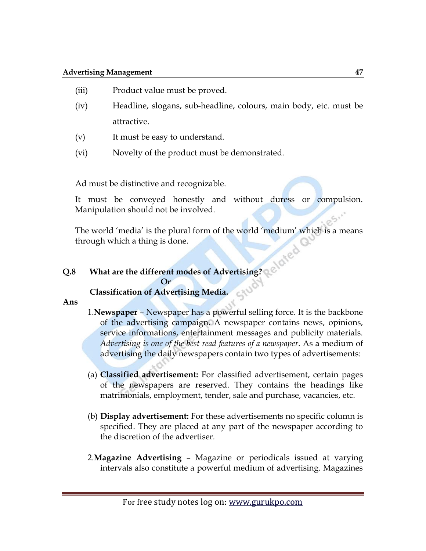- (iii) Product value must be proved.
- (iv) Headline, slogans, sub-headline, colours, main body, etc. must be attractive.
- (v) It must be easy to understand.
- (vi) Novelty of the product must be demonstrated.

Ad must be distinctive and recognizable.

It must be conveyed honestly and without duress or compulsion. Manipulation should not be involved.

The world 'media' is the plural form of the world 'medium' which is a means through which a thing is done.

## **Q.8 What are the different modes of Advertising?**

*<u>Or</u>* 

## **Classification of Advertising Media.**

**Ans**

- 1.**Newspaper** Newspaper has a powerful selling force. It is the backbone of the advertising campaign. A newspaper contains news, opinions, service informations, entertainment messages and publicity materials. *Advertising is one of the best read features of a newspaper*. As a medium of advertising the daily newspapers contain two types of advertisements:
- (a) **Classified advertisement:** For classified advertisement, certain pages of the newspapers are reserved. They contains the headings like matrimonials, employment, tender, sale and purchase, vacancies, etc.
- (b) **Display advertisement:** For these advertisements no specific column is specified. They are placed at any part of the newspaper according to the discretion of the advertiser.
- 2.**Magazine Advertising** Magazine or periodicals issued at varying intervals also constitute a powerful medium of advertising. Magazines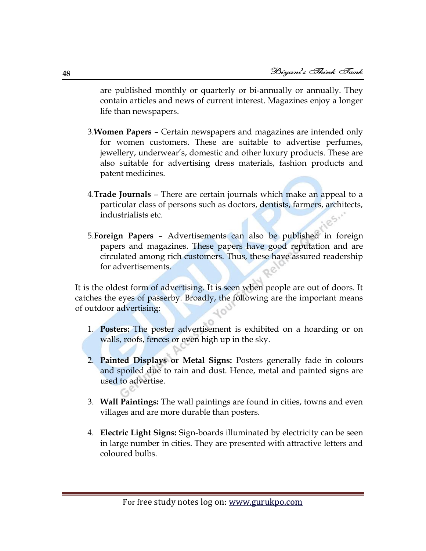are published monthly or quarterly or bi-annually or annually. They contain articles and news of current interest. Magazines enjoy a longer life than newspapers.

- 3.**Women Papers** Certain newspapers and magazines are intended only for women customers. These are suitable to advertise perfumes, jewellery, underwear's, domestic and other luxury products. These are also suitable for advertising dress materials, fashion products and patent medicines.
- 4.**Trade Journals**  There are certain journals which make an appeal to a particular class of persons such as doctors, dentists, farmers, architects, industrialists etc.
- 5.**Foreign Papers** Advertisements can also be published in foreign papers and magazines. These papers have good reputation and are circulated among rich customers. Thus, these have assured readership for advertisements.

It is the oldest form of advertising. It is seen when people are out of doors. It catches the eyes of passerby. Broadly, the following are the important means of outdoor advertising:

- 1. **Posters:** The poster advertisement is exhibited on a hoarding or on walls, roofs, fences or even high up in the sky.
- 2. **Painted Displays or Metal Signs:** Posters generally fade in colours and spoiled due to rain and dust. Hence, metal and painted signs are used to advertise.
- 3. **Wall Paintings:** The wall paintings are found in cities, towns and even villages and are more durable than posters.
- 4. **Electric Light Signs:** Sign-boards illuminated by electricity can be seen in large number in cities. They are presented with attractive letters and coloured bulbs.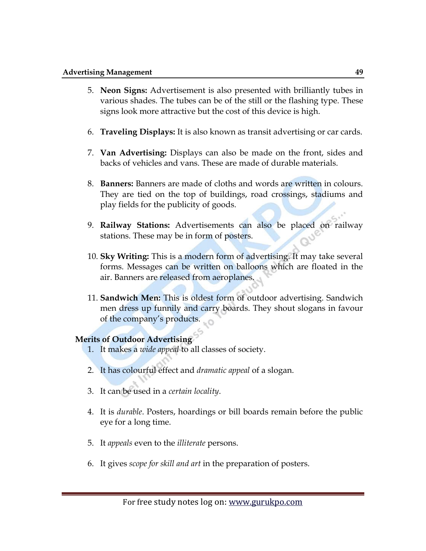- 5. **Neon Signs:** Advertisement is also presented with brilliantly tubes in various shades. The tubes can be of the still or the flashing type. These signs look more attractive but the cost of this device is high.
- 6. **Traveling Displays:** It is also known as transit advertising or car cards.
- 7. **Van Advertising:** Displays can also be made on the front, sides and backs of vehicles and vans. These are made of durable materials.
- 8. **Banners:** Banners are made of cloths and words are written in colours. They are tied on the top of buildings, road crossings, stadiums and play fields for the publicity of goods.
- 9. **Railway Stations:** Advertisements can also be placed on railway stations. These may be in form of posters.
- 10. **Sky Writing:** This is a modern form of advertising. It may take several forms. Messages can be written on balloons which are floated in the air. Banners are released from aeroplanes.
- 11. **Sandwich Men:** This is oldest form of outdoor advertising. Sandwich men dress up funnily and carry boards. They shout slogans in favour of the company's products.

#### **Merits of Outdoor Advertising**

- 1. It makes a *wide appeal* to all classes of society.
- 2. It has colourful effect and *dramatic appeal* of a slogan.
- 3. It can be used in a *certain locality*.
- 4. It is *durable*. Posters, hoardings or bill boards remain before the public eye for a long time.
- 5. It *appeals* even to the *illiterate* persons.
- 6. It gives *scope for skill and art* in the preparation of posters.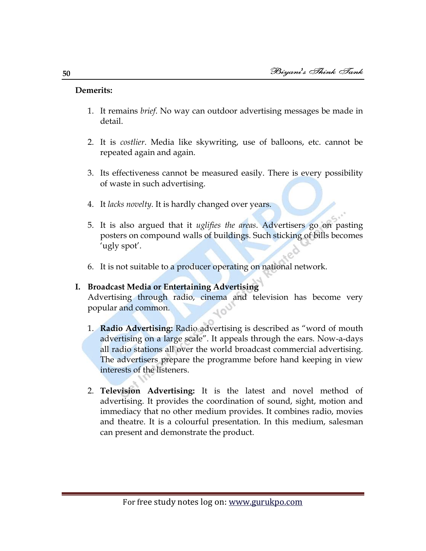## **Demerits:**

- 1. It remains *brief*. No way can outdoor advertising messages be made in detail.
- 2. It is *costlier*. Media like skywriting, use of balloons, etc. cannot be repeated again and again.
- 3. Its effectiveness cannot be measured easily. There is every possibility of waste in such advertising.
- 4. It *lacks novelty*. It is hardly changed over years.
- 5. It is also argued that it *uglifies the areas*. Advertisers go on pasting posters on compound walls of buildings. Such sticking of bills becomes 'ugly spot'.
- 6. It is not suitable to a producer operating on national network.

## **I. Broadcast Media or Entertaining Advertising**

Advertising through radio, cinema and television has become very popular and common.

- 1. **Radio Advertising:** Radio advertising is described as "word of mouth advertising on a large scale‖. It appeals through the ears. Now-a-days all radio stations all over the world broadcast commercial advertising. The advertisers prepare the programme before hand keeping in view interests of the listeners.
- 2. **Television Advertising:** It is the latest and novel method of advertising. It provides the coordination of sound, sight, motion and immediacy that no other medium provides. It combines radio, movies and theatre. It is a colourful presentation. In this medium, salesman can present and demonstrate the product.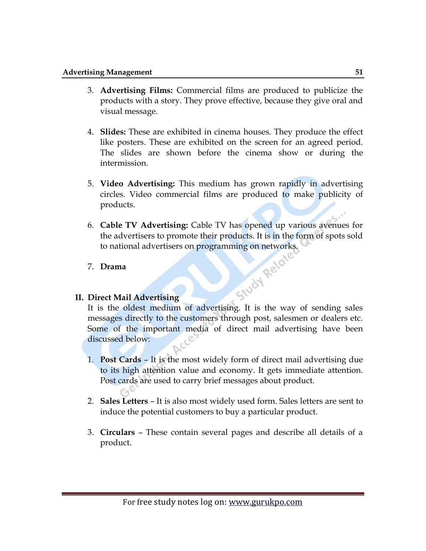- 3. **Advertising Films:** Commercial films are produced to publicize the products with a story. They prove effective, because they give oral and visual message.
- 4. **Slides:** These are exhibited in cinema houses. They produce the effect like posters. These are exhibited on the screen for an agreed period. The slides are shown before the cinema show or during the intermission.
- 5. **Video Advertising:** This medium has grown rapidly in advertising circles. Video commercial films are produced to make publicity of products.
- 6. **Cable TV Advertising:** Cable TV has opened up various avenues for the advertisers to promote their products. It is in the form of spots sold to national advertisers on programming on networks.<br>Drama<br>rect Mail Advertisers

## 7. **Drama**

## **II. Direct Mail Advertising**

It is the oldest medium of advertising. It is the way of sending sales messages directly to the customers through post, salesmen or dealers etc. Some of the important media of direct mail advertising have been discussed below:

- 1. **Post Cards** It is the most widely form of direct mail advertising due to its high attention value and economy. It gets immediate attention. Post cards are used to carry brief messages about product.
- 2. **Sales Letters**  It is also most widely used form. Sales letters are sent to induce the potential customers to buy a particular product.
- 3. **Circulars**  These contain several pages and describe all details of a product.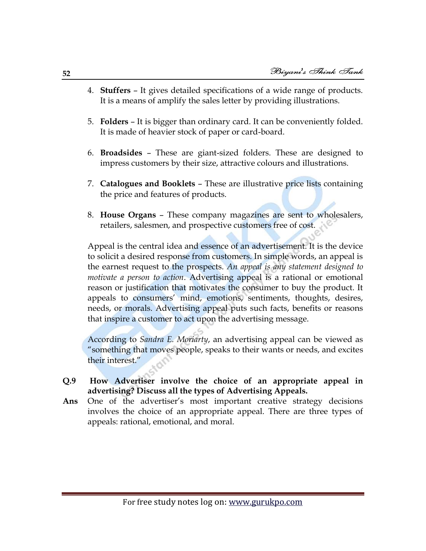- 4. **Stuffers**  It gives detailed specifications of a wide range of products. It is a means of amplify the sales letter by providing illustrations.
- 5. **Folders**  It is bigger than ordinary card. It can be conveniently folded. It is made of heavier stock of paper or card-board.
- 6. **Broadsides**  These are giant-sized folders. These are designed to impress customers by their size, attractive colours and illustrations.
- 7. **Catalogues and Booklets**  These are illustrative price lists containing the price and features of products.
- 8. **House Organs**  These company magazines are sent to wholesalers, retailers, salesmen, and prospective customers free of cost.

Appeal is the central idea and essence of an advertisement. It is the device to solicit a desired response from customers. In simple words, an appeal is the earnest request to the prospects. *An appeal is any statement designed to motivate a person to action*. Advertising appeal is a rational or emotional reason or justification that motivates the consumer to buy the product. It appeals to consumers' mind, emotions, sentiments, thoughts, desires, needs, or morals. Advertising appeal puts such facts, benefits or reasons that inspire a customer to act upon the advertising message.

According to *Sandra E. Moriarty*, an advertising appeal can be viewed as ―something that moves people, speaks to their wants or needs, and excites their interest."

- **Q.9 How Advertiser involve the choice of an appropriate appeal in advertising? Discuss all the types of Advertising Appeals.**
- **Ans** One of the advertiser's most important creative strategy decisions involves the choice of an appropriate appeal. There are three types of appeals: rational, emotional, and moral.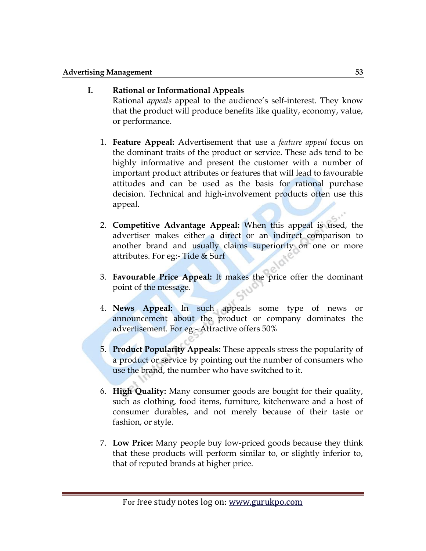## **I. Rational or Informational Appeals**

Rational *appeals* appeal to the audience's self-interest. They know that the product will produce benefits like quality, economy, value, or performance.

- 1. **Feature Appeal:** Advertisement that use a *feature appeal* focus on the dominant traits of the product or service. These ads tend to be highly informative and present the customer with a number of important product attributes or features that will lead to favourable attitudes and can be used as the basis for rational purchase decision. Technical and high-involvement products often use this appeal.
- 2. **Competitive Advantage Appeal:** When this appeal is used, the advertiser makes either a direct or an indirect comparison to another brand and usually claims superiority on one or more attributes. For eg:- Tide & Surf
- 3. **Favourable Price Appeal:** It makes the price offer the dominant point of the message.
- 4. **News Appeal:** In such appeals some type of news or announcement about the product or company dominates the advertisement. For eg:- Attractive offers 50%
- 5. **Product Popularity Appeals:** These appeals stress the popularity of a product or service by pointing out the number of consumers who use the brand, the number who have switched to it.
- 6. **High Quality:** Many consumer goods are bought for their quality, such as clothing, food items, furniture, kitchenware and a host of consumer durables, and not merely because of their taste or fashion, or style.
- 7. **Low Price:** Many people buy low-priced goods because they think that these products will perform similar to, or slightly inferior to, that of reputed brands at higher price.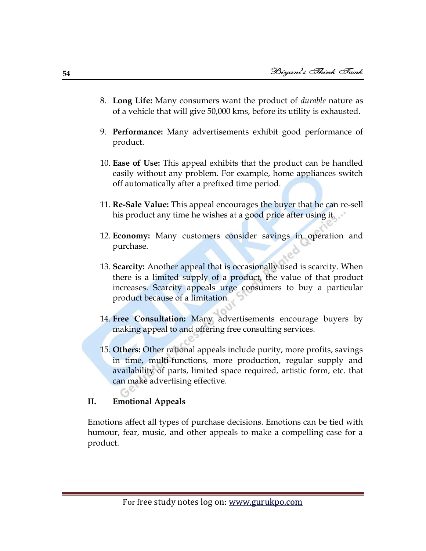- 8. **Long Life:** Many consumers want the product of *durable* nature as of a vehicle that will give 50,000 kms, before its utility is exhausted.
- 9. **Performance:** Many advertisements exhibit good performance of product.
- 10. **Ease of Use:** This appeal exhibits that the product can be handled easily without any problem. For example, home appliances switch off automatically after a prefixed time period.
- 11. **Re-Sale Value:** This appeal encourages the buyer that he can re-sell his product any time he wishes at a good price after using it.
- 12. **Economy:** Many customers consider savings in operation and purchase.
- 13. **Scarcity:** Another appeal that is occasionally used is scarcity. When there is a limited supply of a product, the value of that product increases. Scarcity appeals urge consumers to buy a particular product because of a limitation.
- 14. **Free Consultation:** Many advertisements encourage buyers by making appeal to and offering free consulting services.
- 15. **Others:** Other rational appeals include purity, more profits, savings in time, multi-functions, more production, regular supply and availability of parts, limited space required, artistic form, etc. that can make advertising effective.

#### **II. Emotional Appeals**

Emotions affect all types of purchase decisions. Emotions can be tied with humour, fear, music, and other appeals to make a compelling case for a product.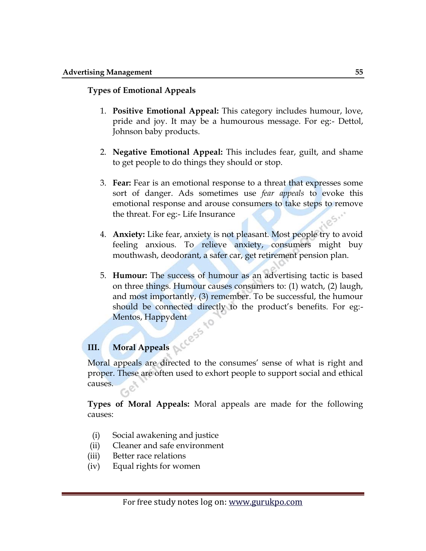## **Types of Emotional Appeals**

- 1. **Positive Emotional Appeal:** This category includes humour, love, pride and joy. It may be a humourous message. For eg:- Dettol, Johnson baby products.
- 2. **Negative Emotional Appeal:** This includes fear, guilt, and shame to get people to do things they should or stop.
- 3. **Fear:** Fear is an emotional response to a threat that expresses some sort of danger. Ads sometimes use *fear appeals* to evoke this emotional response and arouse consumers to take steps to remove the threat. For eg:- Life Insurance
- 4. **Anxiety:** Like fear, anxiety is not pleasant. Most people try to avoid feeling anxious. To relieve anxiety, consumers might buy mouthwash, deodorant, a safer car, get retirement pension plan.
- 5. **Humour:** The success of humour as an advertising tactic is based on three things. Humour causes consumers to: (1) watch, (2) laugh, and most importantly, (3) remember. To be successful, the humour should be connected directly to the product's benefits. For eg:- Mentos, Happydent

# **III.** Moral Appeals NCCESS

Moral appeals are directed to the consumes' sense of what is right and proper. These are often used to exhort people to support social and ethical causes.

**Types of Moral Appeals:** Moral appeals are made for the following causes:

- (i) Social awakening and justice
- (ii) Cleaner and safe environment
- (iii) Better race relations
- (iv) Equal rights for women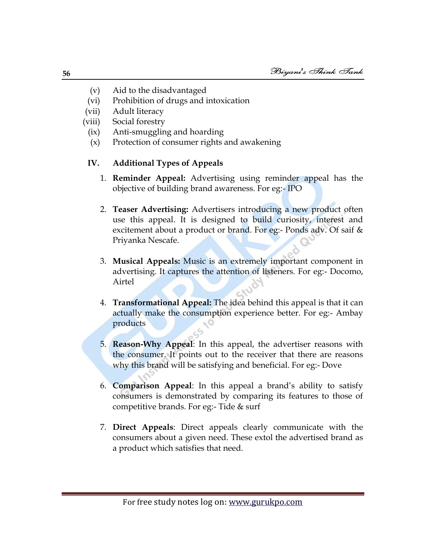- (v) Aid to the disadvantaged
- (vi) Prohibition of drugs and intoxication
- (vii) Adult literacy
- (viii) Social forestry
	- (ix) Anti-smuggling and hoarding
	- (x) Protection of consumer rights and awakening

## **IV. Additional Types of Appeals**

- 1. **Reminder Appeal:** Advertising using reminder appeal has the objective of building brand awareness. For eg:- IPO
- 2. **Teaser Advertising:** Advertisers introducing a new product often use this appeal. It is designed to build curiosity, interest and excitement about a product or brand. For eg:- Ponds adv. Of saif & Priyanka Nescafe.
- 3. **Musical Appeals:** Music is an extremely important component in advertising. It captures the attention of listeners. For eg:- Docomo, Airtel
- 4. **Transformational Appeal:** The idea behind this appeal is that it can actually make the consumption experience better. For eg:- Ambay products
- 5. **Reason-Why Appeal**: In this appeal, the advertiser reasons with the consumer. It points out to the receiver that there are reasons why this brand will be satisfying and beneficial. For eg:- Dove
- 6. **Comparison Appeal**: In this appeal a brand's ability to satisfy consumers is demonstrated by comparing its features to those of competitive brands. For eg:- Tide & surf
- 7. **Direct Appeals**: Direct appeals clearly communicate with the consumers about a given need. These extol the advertised brand as a product which satisfies that need.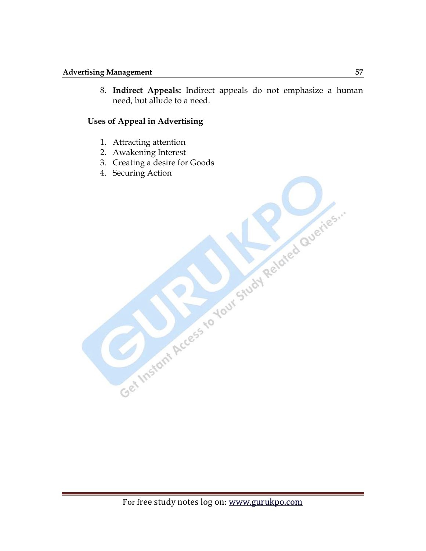8. **Indirect Appeals:** Indirect appeals do not emphasize a human need, but allude to a need.

## **Uses of Appeal in Advertising**

- 1. Attracting attention
- 2. Awakening Interest
- 3. Creating a desire for Goods
- 4. Securing Action

For free study notes log on: www.gurukpo.com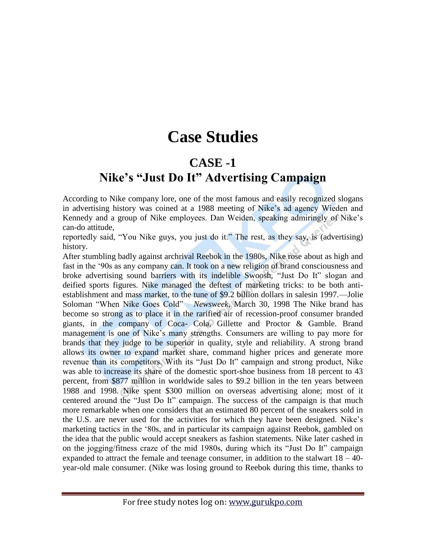## **Case Studies**

## **CASE -1**

## **Nike's "Just Do It" Advertising Campaign**

According to Nike company lore, one of the most famous and easily recognized slogans in advertising history was coined at a 1988 meeting of Nike's ad agency Wieden and Kennedy and a group of Nike employees. Dan Weiden, speaking admiringly of Nike's can-do attitude,

reportedly said, "You Nike guys, you just do it." The rest, as they say, is (advertising) history.

After stumbling badly against archrival Reebok in the 1980s, Nike rose about as high and fast in the '90s as any company can. It took on a new religion of brand consciousness and broke advertising sound barriers with its indelible Swoosh, "Just Do It" slogan and deified sports figures. Nike managed the deftest of marketing tricks: to be both antiestablishment and mass market, to the tune of \$9.2 billion dollars in salesin 1997.—Jolie Soloman "When Nike Goes Cold" *Newsweek*, March 30, 1998 The Nike brand has become so strong as to place it in the rarified air of recession-proof consumer branded giants, in the company of Coca- Cola, Gillette and Proctor & Gamble. Brand management is one of Nike's many strengths. Consumers are willing to pay more for brands that they judge to be superior in quality, style and reliability. A strong brand allows its owner to expand market share, command higher prices and generate more revenue than its competitors. With its "Just Do It" campaign and strong product, Nike was able to increase its share of the domestic sport-shoe business from 18 percent to 43 percent, from \$877 million in worldwide sales to \$9.2 billion in the ten years between 1988 and 1998. Nike spent \$300 million on overseas advertising alone; most of it centered around the "Just Do It" campaign. The success of the campaign is that much more remarkable when one considers that an estimated 80 percent of the sneakers sold in the U.S. are never used for the activities for which they have been designed. Nike's marketing tactics in the ‗80s, and in particular its campaign against Reebok, gambled on the idea that the public would accept sneakers as fashion statements. Nike later cashed in on the jogging/fitness craze of the mid 1980s, during which its "Just Do It" campaign expanded to attract the female and teenage consumer, in addition to the stalwart  $18 - 40$ year-old male consumer. (Nike was losing ground to Reebok during this time, thanks to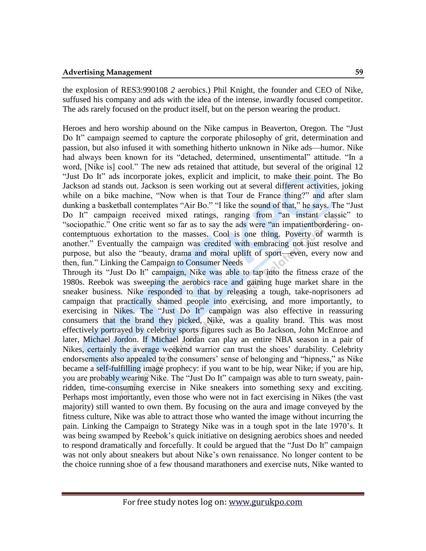the explosion of RES3:990108 *2* aerobics.) Phil Knight, the founder and CEO of Nike, suffused his company and ads with the idea of the intense, inwardly focused competitor. The ads rarely focused on the product itself, but on the person wearing the product.

Heroes and hero worship abound on the Nike campus in Beaverton, Oregon. The "Just" Do It" campaign seemed to capture the corporate philosophy of grit, determination and passion, but also infused it with something hitherto unknown in Nike ads—humor. Nike had always been known for its "detached, determined, unsentimental" attitude. "In a word, [Nike is] cool." The new ads retained that attitude, but several of the original 12 "Just Do It" ads incorporate jokes, explicit and implicit, to make their point. The Bo Jackson ad stands out. Jackson is seen working out at several different activities, joking while on a bike machine, "Now when is that Tour de France thing?" and after slam dunking a basketball contemplates "Air Bo." "I like the sound of that," he says. The "Just Do It" campaign received mixed ratings, ranging from "an instant classic" to "sociopathic." One critic went so far as to say the ads were "an impatientbordering-oncontemptuous exhortation to the masses. Cool is one thing. Poverty of warmth is another." Eventually the campaign was credited with embracing not just resolve and purpose, but also the "beauty, drama and moral uplift of sport—even, every now and then, fun." Linking the Campaign to Consumer Needs

Through its "Just Do It" campaign, Nike was able to tap into the fitness craze of the 1980s. Reebok was sweeping the aerobics race and gaining huge market share in the sneaker business. Nike responded to that by releasing a tough, take-noprisoners ad campaign that practically shamed people into exercising, and more importantly, to exercising in Nikes. The "Just Do It" campaign was also effective in reassuring consumers that the brand they picked, Nike, was a quality brand. This was most effectively portrayed by celebrity sports figures such as Bo Jackson, John McEnroe and later, Michael Jordon. If Michael Jordan can play an entire NBA season in a pair of Nikes, certainly the average weekend warrior can trust the shoes' durability. Celebrity endorsements also appealed to the consumers' sense of belonging and "hipness," as Nike became a self-fulfilling image prophecy: if you want to be hip, wear Nike; if you are hip, you are probably wearing Nike. The "Just Do It" campaign was able to turn sweaty, painridden, time-consuming exercise in Nike sneakers into something sexy and exciting. Perhaps most importantly, even those who were not in fact exercising in Nikes (the vast majority) still wanted to own them. By focusing on the aura and image conveyed by the fitness culture, Nike was able to attract those who wanted the image without incurring the pain. Linking the Campaign to Strategy Nike was in a tough spot in the late 1970's. It was being swamped by Reebok's quick initiative on designing aerobics shoes and needed to respond dramatically and forcefully. It could be argued that the "Just Do It" campaign was not only about sneakers but about Nike's own renaissance. No longer content to be the choice running shoe of a few thousand marathoners and exercise nuts, Nike wanted to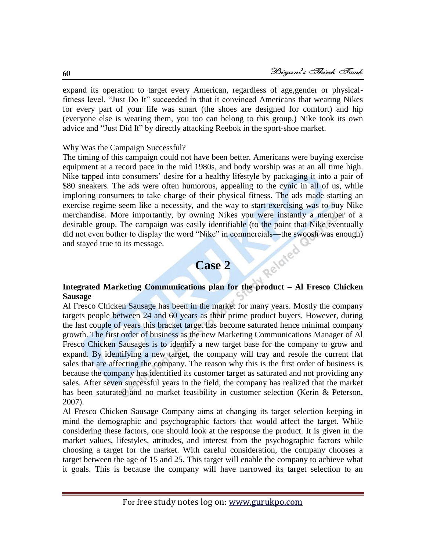expand its operation to target every American, regardless of age,gender or physicalfitness level. "Just Do It" succeeded in that it convinced Americans that wearing Nikes for every part of your life was smart (the shoes are designed for comfort) and hip (everyone else is wearing them, you too can belong to this group.) Nike took its own advice and "Just Did It" by directly attacking Reebok in the sport-shoe market.

## Why Was the Campaign Successful?

The timing of this campaign could not have been better. Americans were buying exercise equipment at a record pace in the mid 1980s, and body worship was at an all time high. Nike tapped into consumers' desire for a healthy lifestyle by packaging it into a pair of \$80 sneakers. The ads were often humorous, appealing to the cynic in all of us, while imploring consumers to take charge of their physical fitness. The ads made starting an exercise regime seem like a necessity, and the way to start exercising was to buy Nike merchandise. More importantly, by owning Nikes you were instantly a member of a desirable group. The campaign was easily identifiable (to the point that Nike eventually did not even bother to display the word "Nike" in commercials—the swoosh was enough)<br>and stayed true to its message.<br>Case 2 and stayed true to its message.

## **Case 2**

## **Integrated Marketing Communications plan for the product – Al Fresco Chicken Sausage**

Al Fresco Chicken Sausage has been in the market for many years. Mostly the company targets people between 24 and 60 years as their prime product buyers. However, during the last couple of years this bracket target has become saturated hence minimal company growth. The first order of business as the new Marketing Communications Manager of Al Fresco Chicken Sausages is to identify a new target base for the company to grow and expand. By identifying a new target, the company will tray and resole the current flat sales that are affecting the company. The reason why this is the first order of business is because the company has identified its customer target as saturated and not providing any sales. After seven successful years in the field, the company has realized that the market has been saturated and no market feasibility in customer selection (Kerin & Peterson, 2007).

Al Fresco Chicken Sausage Company aims at changing its target selection keeping in mind the demographic and psychographic factors that would affect the target. While considering these factors, one should look at the response the product. It is given in the market values, lifestyles, attitudes, and interest from the psychographic factors while choosing a target for the market. With careful consideration, the company chooses a target between the age of 15 and 25. This target will enable the company to achieve what it goals. This is because the company will have narrowed its target selection to an

**60**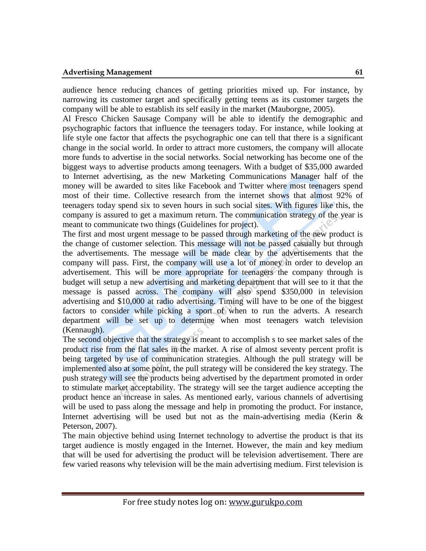audience hence reducing chances of getting priorities mixed up. For instance, by narrowing its customer target and specifically getting teens as its customer targets the company will be able to establish its self easily in the market (Mauborgne, 2005).

Al Fresco Chicken Sausage Company will be able to identify the demographic and psychographic factors that influence the teenagers today. For instance, while looking at life style one factor that affects the psychographic one can tell that there is a significant change in the social world. In order to attract more customers, the company will allocate more funds to advertise in the social networks. Social networking has become one of the biggest ways to advertise products among teenagers. With a budget of \$35,000 awarded to Internet advertising, as the new Marketing Communications Manager half of the money will be awarded to sites like Facebook and Twitter where most teenagers spend most of their time. Collective research from the internet shows that almost 92% of teenagers today spend six to seven hours in such social sites. With figures like this, the company is assured to get a maximum return. The communication strategy of the year is meant to communicate two things (Guidelines for project).

The first and most urgent message to be passed through marketing of the new product is the change of customer selection. This message will not be passed casually but through the advertisements. The message will be made clear by the advertisements that the company will pass. First, the company will use a lot of money in order to develop an advertisement. This will be more appropriate for teenagers the company through is budget will setup a new advertising and marketing department that will see to it that the message is passed across. The company will also spend \$350,000 in television advertising and \$10,000 at radio advertising. Timing will have to be one of the biggest factors to consider while picking a sport of when to run the adverts. A research department will be set up to determine when most teenagers watch television (Kennaugh).

The second objective that the strategy is meant to accomplish s to see market sales of the product rise from the flat sales in the market. A rise of almost seventy percent profit is being targeted by use of communication strategies. Although the pull strategy will be implemented also at some point, the pull strategy will be considered the key strategy. The push strategy will see the products being advertised by the department promoted in order to stimulate market acceptability. The strategy will see the target audience accepting the product hence an increase in sales. As mentioned early, various channels of advertising will be used to pass along the message and help in promoting the product. For instance, Internet advertising will be used but not as the main-advertising media (Kerin  $\&$ Peterson, 2007).

The main objective behind using Internet technology to advertise the product is that its target audience is mostly engaged in the Internet. However, the main and key medium that will be used for advertising the product will be television advertisement. There are few varied reasons why television will be the main advertising medium. First television is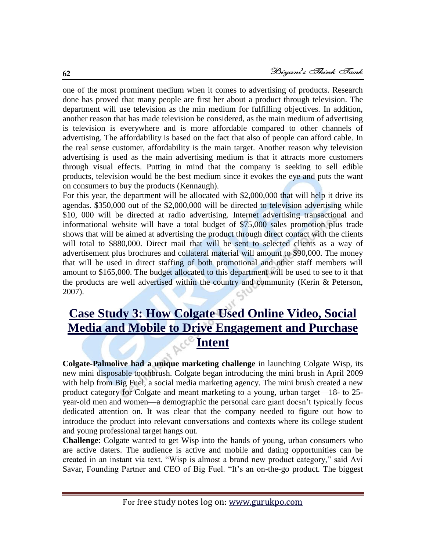one of the most prominent medium when it comes to advertising of products. Research done has proved that many people are first her about a product through television. The department will use television as the min medium for fulfilling objectives. In addition, another reason that has made television be considered, as the main medium of advertising is television is everywhere and is more affordable compared to other channels of advertising. The affordability is based on the fact that also of people can afford cable. In the real sense customer, affordability is the main target. Another reason why television advertising is used as the main advertising medium is that it attracts more customers through visual effects. Putting in mind that the company is seeking to sell edible products, television would be the best medium since it evokes the eye and puts the want on consumers to buy the products (Kennaugh).

For this year, the department will be allocated with \$2,000,000 that will help it drive its agendas. \$350,000 out of the \$2,000,000 will be directed to television advertising while \$10, 000 will be directed at radio advertising. Internet advertising transactional and informational website will have a total budget of \$75,000 sales promotion plus trade shows that will be aimed at advertising the product through direct contact with the clients will total to \$880,000. Direct mail that will be sent to selected clients as a way of advertisement plus brochures and collateral material will amount to \$90,000. The money that will be used in direct staffing of both promotional and other staff members will amount to \$165,000. The budget allocated to this department will be used to see to it that the products are well advertised within the country and community (Kerin & Peterson, 2007).

## **[Case Study 3: How Colgate Used Online Video, Social](http://www.emarketer.com/blog/index.php/case-study-colgate-online-video-social-media-mobile-drive-engagement-purchase-intent/)  [Media and Mobile to Drive Engagement and Purchase](http://www.emarketer.com/blog/index.php/case-study-colgate-online-video-social-media-mobile-drive-engagement-purchase-intent/)  [Intent](http://www.emarketer.com/blog/index.php/case-study-colgate-online-video-social-media-mobile-drive-engagement-purchase-intent/)**

**Colgate-Palmolive had a unique marketing challenge** in launching Colgate Wisp, its new mini disposable toothbrush. Colgate began introducing the mini brush in April 2009 with help from Big Fuel, a social media marketing agency. The mini brush created a new product category for Colgate and meant marketing to a young, urban target—18- to 25 year-old men and women—a demographic the personal care giant doesn't typically focus dedicated attention on. It was clear that the company needed to figure out how to introduce the product into relevant conversations and contexts where its college student and young professional target hangs out.

**Challenge**: Colgate wanted to get Wisp into the hands of young, urban consumers who are active daters. The audience is active and mobile and dating opportunities can be created in an instant via text. "Wisp is almost a brand new product category," said Avi Savar, Founding Partner and CEO of Big Fuel. "It's an on-the-go product. The biggest

**62**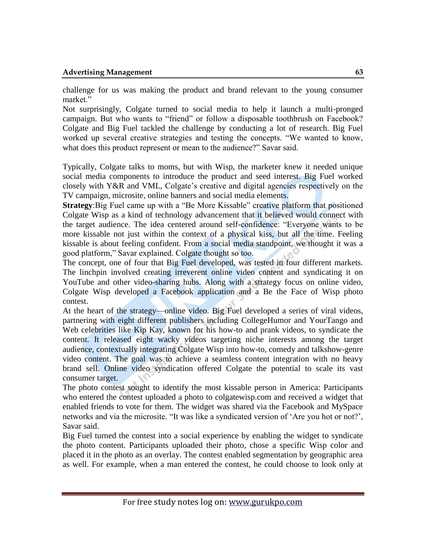challenge for us was making the product and brand relevant to the young consumer market."

Not surprisingly, Colgate turned to social media to help it launch a multi-pronged campaign. But who wants to "friend" or follow a disposable toothbrush on Facebook? Colgate and Big Fuel tackled the challenge by conducting a lot of research. Big Fuel worked up several creative strategies and testing the concepts. "We wanted to know, what does this product represent or mean to the audience?" Savar said.

Typically, Colgate talks to moms, but with Wisp, the marketer knew it needed unique social media components to introduce the product and seed interest. Big Fuel worked closely with Y&R and VML, Colgate's creative and digital agencies respectively on the TV campaign, microsite, online banners and social media elements.

**Strategy**: Big Fuel came up with a "Be More Kissable" creative platform that positioned Colgate Wisp as a kind of technology advancement that it believed would connect with the target audience. The idea centered around self-confidence: "Everyone wants to be more kissable not just within the context of a physical kiss, but all the time. Feeling kissable is about feeling confident. From a social media standpoint, we thought it was a good platform," Savar explained. Colgate thought so too.

The concept, one of four that Big Fuel developed, was tested in four different markets. The linchpin involved creating irreverent online video content and syndicating it on YouTube and other video-sharing hubs. Along with a strategy focus on online video, Colgate Wisp developed a Facebook application and a Be the Face of Wisp photo contest.

At the heart of the strategy—online video. Big Fuel developed a series of viral videos, partnering with eight different publishers including CollegeHumor and YourTango and Web celebrities like Kip Kay, known for his how-to and prank videos, to syndicate the content. It released eight wacky videos targeting niche interests among the target audience, contextually integrating Colgate Wisp into how-to, comedy and talkshow-genre video content. The goal was to achieve a seamless content integration with no heavy brand sell. Online video syndication offered Colgate the potential to scale its vast consumer target.

The photo contest sought to identify the most kissable person in America: Participants who entered the contest uploaded a photo to colgatewisp.com and received a widget that enabled friends to vote for them. The widget was shared via the Facebook and MySpace networks and via the microsite. "It was like a syndicated version of 'Are you hot or not?', Savar said.

Big Fuel turned the contest into a social experience by enabling the widget to syndicate the photo content. Participants uploaded their photo, chose a specific Wisp color and placed it in the photo as an overlay. The contest enabled segmentation by geographic area as well. For example, when a man entered the contest, he could choose to look only at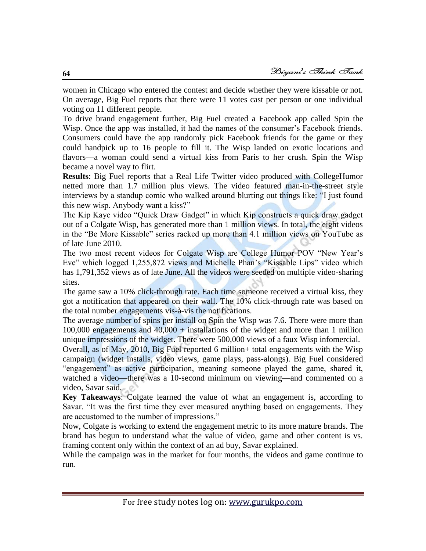women in Chicago who entered the contest and decide whether they were kissable or not. On average, Big Fuel reports that there were 11 votes cast per person or one individual voting on 11 different people.

To drive brand engagement further, Big Fuel created a Facebook app called Spin the Wisp. Once the app was installed, it had the names of the consumer's Facebook friends. Consumers could have the app randomly pick Facebook friends for the game or they could handpick up to 16 people to fill it. The Wisp landed on exotic locations and flavors—a woman could send a virtual kiss from Paris to her crush. Spin the Wisp became a novel way to flirt.

**Results**: Big Fuel reports that a Real Life Twitter video produced with CollegeHumor netted more than 1.7 million plus views. The video featured man-in-the-street style interviews by a standup comic who walked around blurting out things like: "I just found this new wisp. Anybody want a kiss?"

The Kip Kaye video "Quick Draw Gadget" in which Kip constructs a quick draw gadget out of a Colgate Wisp, has generated more than 1 million views. In total, the eight videos in the "Be More Kissable" series racked up more than 4.1 million views on YouTube as of late June 2010.

The two most recent videos for Colgate Wisp are College Humor POV "New Year's Eve" which logged 1,255,872 views and Michelle Phan's "Kissable Lips" video which has 1,791,352 views as of late June. All the videos were seeded on multiple video-sharing sites.

The game saw a 10% click-through rate. Each time someone received a virtual kiss, they got a notification that appeared on their wall. The 10% click-through rate was based on the total number engagements vis-à-vis the notifications.

The average number of spins per install on Spin the Wisp was 7.6. There were more than 100,000 engagements and 40,000 + installations of the widget and more than 1 million unique impressions of the widget. There were 500,000 views of a faux Wisp infomercial.

Overall, as of May, 2010, Big Fuel reported 6 million+ total engagements with the Wisp campaign (widget installs, video views, game plays, pass-alongs). Big Fuel considered "engagement" as active participation, meaning someone played the game, shared it, watched a video—there was a 10-second minimum on viewing—and commented on a video, Savar said.

**Key Takeaways**: Colgate learned the value of what an engagement is, according to Savar. "It was the first time they ever measured anything based on engagements. They are accustomed to the number of impressions."

Now, Colgate is working to extend the engagement metric to its more mature brands. The brand has begun to understand what the value of video, game and other content is vs. framing content only within the context of an ad buy, Savar explained.

While the campaign was in the market for four months, the videos and game continue to run.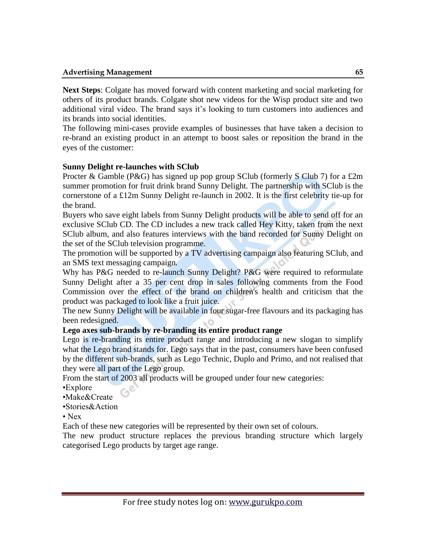**Next Steps**: Colgate has moved forward with content marketing and social marketing for others of its product brands. Colgate shot new videos for the Wisp product site and two additional viral video. The brand says it's looking to turn customers into audiences and its brands into social identities.

The following mini-cases provide examples of businesses that have taken a decision to re-brand an existing product in an attempt to boost sales or reposition the brand in the eyes of the customer:

#### **Sunny Delight re-launches with SClub**

Procter & Gamble (P&G) has signed up pop group SClub (formerly S Club 7) for a  $\pounds 2m$ summer promotion for fruit drink brand Sunny Delight. The partnership with SClub is the cornerstone of a £12m Sunny Delight re-launch in 2002. It is the first celebrity tie-up for the brand.

Buyers who save eight labels from Sunny Delight products will be able to send off for an exclusive SClub CD. The CD includes a new track called Hey Kitty, taken from the next SClub album, and also features interviews with the band recorded for Sunny Delight on the set of the SClub television programme.

The promotion will be supported by a TV advertising campaign also featuring SClub, and an SMS text messaging campaign.

Why has P&G needed to re-launch Sunny Delight? P&G were required to reformulate Sunny Delight after a 35 per cent drop in sales following comments from the Food Commission over the effect of the brand on children's health and criticism that the product was packaged to look like a fruit juice.

The new Sunny Delight will be available in four sugar-free flavours and its packaging has been redesigned.

## **Lego axes sub-brands by re-branding its entire product range**

Lego is re-branding its entire product range and introducing a new slogan to simplify what the Lego brand stands for. Lego says that in the past, consumers have been confused by the different sub-brands, such as Lego Technic, Duplo and Primo, and not realised that they were all part of the Lego group.

From the start of 2003 all products will be grouped under four new categories:

•Explore

•Make&Create

•Stories&Action

• Nex

Each of these new categories will be represented by their own set of colours.

The new product structure replaces the previous branding structure which largely categorised Lego products by target age range.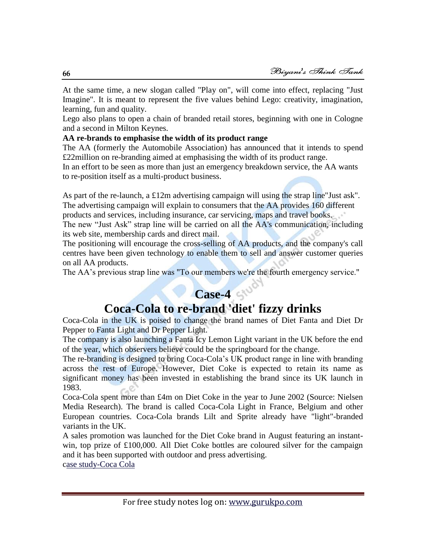At the same time, a new slogan called "Play on", will come into effect, replacing "Just Imagine". It is meant to represent the five values behind Lego: creativity, imagination, learning, fun and quality.

Lego also plans to open a chain of branded retail stores, beginning with one in Cologne and a second in Milton Keynes.

## **AA re-brands to emphasise the width of its product range**

The AA (formerly the Automobile Association) has announced that it intends to spend £22million on re-branding aimed at emphasising the width of its product range.

In an effort to be seen as more than just an emergency breakdown service, the AA wants to re-position itself as a multi-product business.

As part of the re-launch, a £12m advertising campaign will using the strap line"Just ask". The advertising campaign will explain to consumers that the AA provides 160 different products and services, including insurance, car servicing, maps and travel books.

The new "Just Ask" strap line will be carried on all the AA's communication, including its web site, membership cards and direct mail.

The positioning will encourage the cross-selling of AA products, and the company's call centres have been given technology to enable them to sell and answer customer queries on all AA products.

The AA's previous strap line was "To our members we're the fourth emergency service."

## **Case-4**

## **Coca-Cola to re-brand 'diet' fizzy drinks**

Coca-Cola in the UK is poised to change the brand names of Diet Fanta and Diet Dr Pepper to Fanta Light and Dr Pepper Light.

The company is also launching a Fanta Icy Lemon Light variant in the UK before the end of the year, which observers believe could be the springboard for the change.

The re-branding is designed to bring Coca-Cola's UK product range in line with branding across the rest of Europe. However, Diet Coke is expected to retain its name as significant money has been invested in establishing the brand since its UK launch in 1983.

Coca-Cola spent more than £4m on Diet Coke in the year to June 2002 (Source: Nielsen Media Research). The brand is called Coca-Cola Light in France, Belgium and other European countries. Coca-Cola brands Lilt and Sprite already have "light"-branded variants in the UK.

A sales promotion was launched for the Diet Coke brand in August featuring an instantwin, top prize of £100,000. All Diet Coke bottles are coloured silver for the campaign and it has been supported with outdoor and press advertising.

[case study-Coca Cola](http://drypen.in/case-studies/case-study-coca-cola.html)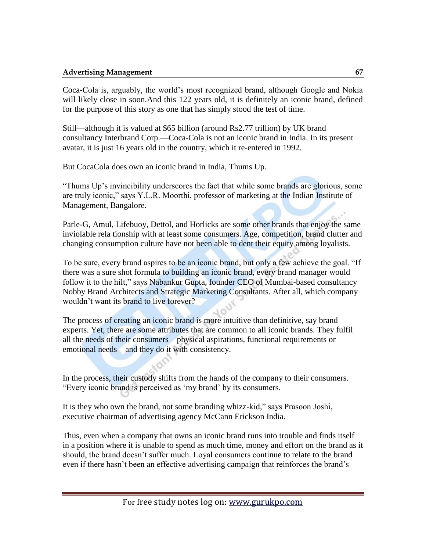Coca-Cola is, arguably, the world's most recognized brand, although Google and Nokia will likely close in soon.And this 122 years old, it is definitely an iconic brand, defined for the purpose of this story as one that has simply stood the test of time.

Still—although it is valued at \$65 billion (around Rs2.77 trillion) by UK brand consultancy Interbrand Corp.—Coca-Cola is not an iconic brand in India. In its present avatar, it is just 16 years old in the country, which it re-entered in 1992.

But CocaCola does own an iconic brand in India, Thums Up.

―Thums Up's invincibility underscores the fact that while some brands are glorious, some are truly iconic," says Y.L.R. Moorthi, professor of marketing at the Indian Institute of Management, Bangalore.

Parle-G, Amul, Lifebuoy, Dettol, and Horlicks are some other brands that enjoy the same inviolable rela tionship with at least some consumers. Age, competition, brand clutter and changing consumption culture have not been able to dent their equity among loyalists.

To be sure, every brand aspires to be an iconic brand, but only a few achieve the goal. "If there was a sure shot formula to building an iconic brand, every brand manager would follow it to the hilt," says Nabankur Gupta, founder CEO of Mumbai-based consultancy Nobby Brand Architects and Strategic Marketing Consultants. After all, which company wouldn't want its brand to live forever?

The process of creating an iconic brand is more intuitive than definitive, say brand experts. Yet, there are some attributes that are common to all iconic brands. They fulfil all the needs of their consumers—physical aspirations, functional requirements or emotional needs—and they do it with consistency.

In the process, their custody shifts from the hands of the company to their consumers. ―Every iconic brand is perceived as ‗my brand' by its consumers.

It is they who own the brand, not some branding whizz-kid," says Prasoon Joshi, executive chairman of advertising agency McCann Erickson India.

Thus, even when a company that owns an iconic brand runs into trouble and finds itself in a position where it is unable to spend as much time, money and effort on the brand as it should, the brand doesn't suffer much. Loyal consumers continue to relate to the brand even if there hasn't been an effective advertising campaign that reinforces the brand's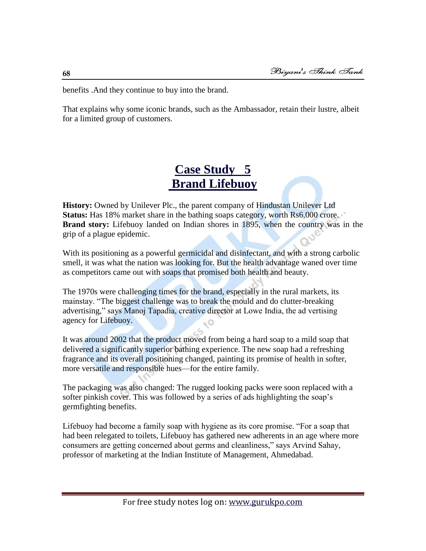benefits .And they continue to buy into the brand.

That explains why some iconic brands, such as the Ambassador, retain their lustre, albeit for a limited group of customers.

## **[Case Study 5](http://drypen.in/case-studies/case-study-brand-lifebuoy.html)  [Brand Lifebuoy](http://drypen.in/case-studies/case-study-brand-lifebuoy.html)**

**History:** Owned by Unilever Plc., the parent company of Hindustan Unilever Ltd **Status:** Has 18% market share in the bathing soaps category, worth Rs6,000 crore. **Brand story:** Lifebuoy landed on Indian shores in 1895, when the country was in the grip of a plague epidemic.

With its positioning as a powerful germicidal and disinfectant, and with a strong carbolic smell, it was what the nation was looking for. But the health advantage waned over time as competitors came out with soaps that promised both health and beauty.

The 1970s were challenging times for the brand, especially in the rural markets, its mainstay. "The biggest challenge was to break the mould and do clutter-breaking advertising," says Manoj Tapadia, creative director at Lowe India, the ad vertising agency for Lifebuoy.

It was around 2002 that the product moved from being a hard soap to a mild soap that delivered a significantly superior bathing experience. The new soap had a refreshing fragrance and its overall positioning changed, painting its promise of health in softer, more versatile and responsible hues—for the entire family.

The packaging was also changed: The rugged looking packs were soon replaced with a softer pinkish cover. This was followed by a series of ads highlighting the soap's germfighting benefits.

Lifebuoy had become a family soap with hygiene as its core promise. "For a soap that had been relegated to toilets, Lifebuoy has gathered new adherents in an age where more consumers are getting concerned about germs and cleanliness," says Arvind Sahay, professor of marketing at the Indian Institute of Management, Ahmedabad.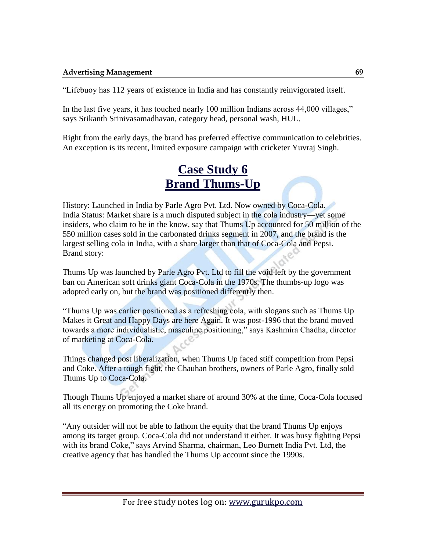―Lifebuoy has 112 years of existence in India and has constantly reinvigorated itself.

In the last five years, it has touched nearly 100 million Indians across 44,000 villages," says Srikanth Srinivasamadhavan, category head, personal wash, HUL.

Right from the early days, the brand has preferred effective communication to celebrities. An exception is its recent, limited exposure campaign with cricketer Yuvraj Singh.

## **[Case Study 6](http://drypen.in/case-studies/case-study-brand-thums-up.html)  [Brand Thums-Up](http://drypen.in/case-studies/case-study-brand-thums-up.html)**

History: Launched in India by Parle Agro Pvt. Ltd. Now owned by Coca-Cola. India Status: Market share is a much disputed subject in the cola industry—yet some insiders, who claim to be in the know, say that Thums Up accounted for 50 million of the 550 million cases sold in the carbonated drinks segment in 2007, and the brand is the largest selling cola in India, with a share larger than that of Coca-Cola and Pepsi. Brand story:

Thums Up was launched by Parle Agro Pvt. Ltd to fill the void left by the government ban on American soft drinks giant Coca-Cola in the 1970s. The thumbs-up logo was adopted early on, but the brand was positioned differently then.

―Thums Up was earlier positioned as a refreshing cola, with slogans such as Thums Up Makes it Great and Happy Days are here Again. It was post-1996 that the brand moved towards a more individualistic, masculine positioning," says Kashmira Chadha, director of marketing at Coca-Cola.

Things changed post liberalization, when Thums Up faced stiff competition from Pepsi and Coke. After a tough fight, the Chauhan brothers, owners of Parle Agro, finally sold Thums Up to Coca-Cola.

Though Thums Up enjoyed a market share of around 30% at the time, Coca-Cola focused all its energy on promoting the Coke brand.

―Any outsider will not be able to fathom the equity that the brand Thums Up enjoys among its target group. Coca-Cola did not understand it either. It was busy fighting Pepsi with its brand Coke," says Arvind Sharma, chairman, Leo Burnett India Pvt. Ltd, the creative agency that has handled the Thums Up account since the 1990s.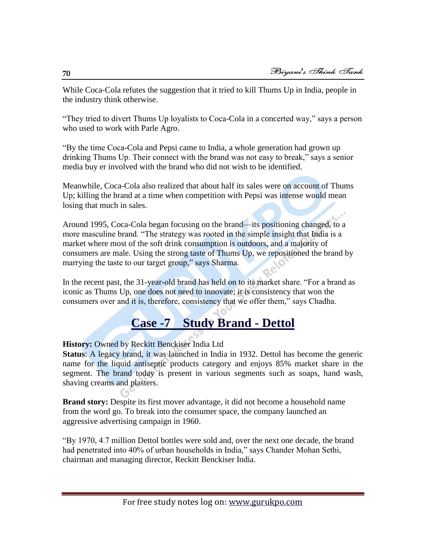While Coca-Cola refutes the suggestion that it tried to kill Thums Up in India, people in the industry think otherwise.

"They tried to divert Thums Up loyalists to Coca-Cola in a concerted way," says a person who used to work with Parle Agro.

―By the time Coca-Cola and Pepsi came to India, a whole generation had grown up drinking Thums Up. Their connect with the brand was not easy to break," says a senior media buy er involved with the brand who did not wish to be identified.

Meanwhile, Coca-Cola also realized that about half its sales were on account of Thums Up; killing the brand at a time when competition with Pepsi was intense would mean losing that much in sales.

Around 1995, Coca-Cola began focusing on the brand—its positioning changed, to a more masculine brand. "The strategy was rooted in the simple insight that India is a market where most of the soft drink consumption is outdoors, and a majority of consumers are male. Using the strong taste of Thums Up, we repositioned the brand by marrying the taste to our target group," says Sharma.

In the recent past, the 31-year-old brand has held on to its market share. "For a brand as iconic as Thums Up, one does not need to innovate; it is consistency that won the consumers over and it is, therefore, consistency that we offer them," says Chadha.

## **[Case -7 Study Brand -](http://drypen.in/case-studies/case-study-brand-dettol.html) Dettol**

**History:** Owned by Reckitt Benckiser India Ltd

**Status**: A legacy brand, it was launched in India in 1932. Dettol has become the generic name for the liquid antiseptic products category and enjoys 85% market share in the segment. The brand today is present in various segments such as soaps, hand wash, shaving creams and plasters.

**Brand story:** Despite its first mover advantage, it did not become a household name from the word go. To break into the consumer space, the company launched an aggressive advertising campaign in 1960.

―By 1970, 4.7 million Dettol bottles were sold and, over the next one decade, the brand had penetrated into 40% of urban households in India," says Chander Mohan Sethi, chairman and managing director, Reckitt Benckiser India.

**70**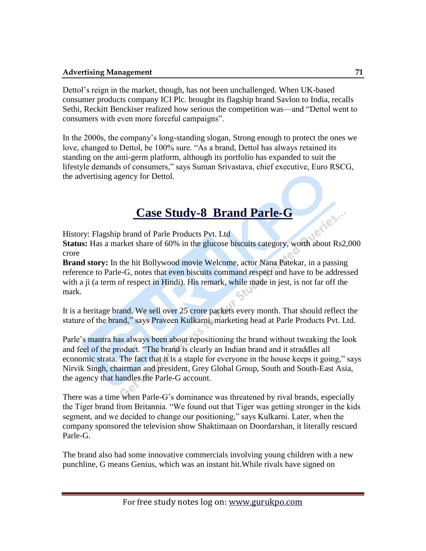Dettol's reign in the market, though, has not been unchallenged. When UK-based consumer products company ICI Plc. brought its flagship brand Savlon to India, recalls Sethi, Reckitt Benckiser realized how serious the competition was—and "Dettol went to consumers with even more forceful campaigns".

In the 2000s, the company's long-standing slogan, Strong enough to protect the ones we love, changed to Dettol, be 100% sure. "As a brand, Dettol has always retained its standing on the anti-germ platform, although its portfolio has expanded to suit the lifestyle demands of consumers," says Suman Srivastava, chief executive, Euro RSCG, the advertising agency for Dettol.

## **[Case Study-](http://drypen.in/case-studies/brand-parle-g-case-study.html)8 Brand Parle-G**

History: Flagship brand of Parle Products Pvt. Ltd

**Status:** Has a market share of 60% in the glucose biscuits category, worth about Rs2,000 crore

**Brand story:** In the hit Bollywood movie Welcome, actor Nana Patekar, in a passing reference to Parle-G, notes that even biscuits command respect and have to be addressed with a ji (a term of respect in Hindi). His remark, while made in jest, is not far off the mark.

It is a heritage brand. We sell over 25 crore packets every month. That should reflect the stature of the brand," says Praveen Kulkarni, marketing head at Parle Products Pvt. Ltd.

Parle's mantra has always been about repositioning the brand without tweaking the look and feel of the product. "The brand is clearly an Indian brand and it straddles all economic strata. The fact that it is a staple for everyone in the house keeps it going," says Nirvik Singh, chairman and president, Grey Global Group, South and South-East Asia, the agency that handles the Parle-G account.

There was a time when Parle-G's dominance was threatened by rival brands, especially the Tiger brand from Britannia. "We found out that Tiger was getting stronger in the kids segment, and we decided to change our positioning," says Kulkarni. Later, when the company sponsored the television show Shaktimaan on Doordarshan, it literally rescued Parle-G.

The brand also had some innovative commercials involving young children with a new punchline, G means Genius, which was an instant hit.While rivals have signed on

Jeries.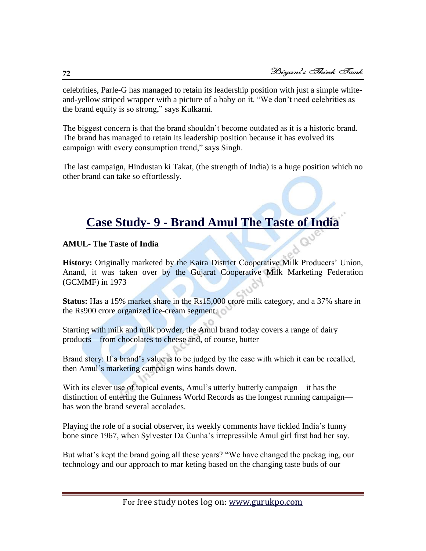celebrities, Parle-G has managed to retain its leadership position with just a simple whiteand-yellow striped wrapper with a picture of a baby on it. "We don't need celebrities as the brand equity is so strong," says Kulkarni.

The biggest concern is that the brand shouldn't become outdated as it is a historic brand. The brand has managed to retain its leadership position because it has evolved its campaign with every consumption trend," says Singh.

The last campaign, Hindustan ki Takat, (the strength of India) is a huge position which no other brand can take so effortlessly.

## **Case Study- 9 - [Brand Amul The Taste of India](http://drypen.in/case-studies/case-study-brand-amul-the-taste-of-india.html)**

## **AMUL- The Taste of India**

**History:** Originally marketed by the Kaira District Cooperative Milk Producers' Union, Anand, it was taken over by the Gujarat Cooperative Milk Marketing Federation (GCMMF) in 1973

**Status:** Has a 15% market share in the Rs15,000 crore milk category, and a 37% share in the Rs900 crore organized ice-cream segment.

Starting with milk and milk powder, the Amul brand today covers a range of dairy products—from chocolates to cheese and, of course, butter

Brand story: If a brand's value is to be judged by the ease with which it can be recalled, then Amul's marketing campaign wins hands down.

With its clever use of topical events, Amul's utterly butterly campaign—it has the distinction of entering the Guinness World Records as the longest running campaign has won the brand several accolades.

Playing the role of a social observer, its weekly comments have tickled India's funny bone since 1967, when Sylvester Da Cunha's irrepressible Amul girl first had her say.

But what's kept the brand going all these years? "We have changed the packag ing, our technology and our approach to mar keting based on the changing taste buds of our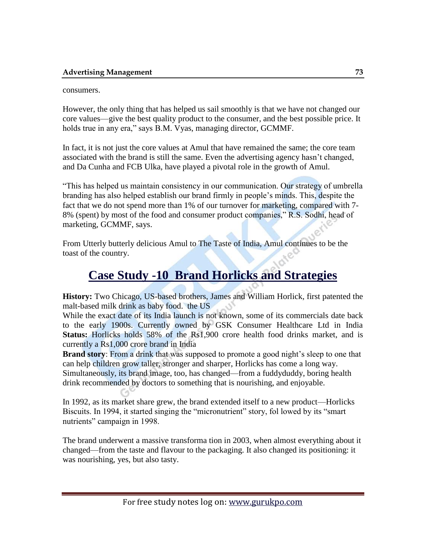## consumers.

However, the only thing that has helped us sail smoothly is that we have not changed our core values—give the best quality product to the consumer, and the best possible price. It holds true in any era," says B.M. Vyas, managing director, GCMMF.

In fact, it is not just the core values at Amul that have remained the same; the core team associated with the brand is still the same. Even the advertising agency hasn't changed, and Da Cunha and FCB Ulka, have played a pivotal role in the growth of Amul.

―This has helped us maintain consistency in our communication. Our strategy of umbrella branding has also helped establish our brand firmly in people's minds. This, despite the fact that we do not spend more than 1% of our turnover for marketing, compared with 7- 8% (spent) by most of the food and consumer product companies," R.S. Sodhi, head of marketing, GCMMF, says.

From Utterly butterly delicious Amul to The Taste of India, Amul continues to be the toast of the country.

# **Case Study -10 [Brand Horlicks and Strategies](http://drypen.in/case-studies/brand-horlicks-case-study-and-strategies.html)**

**History:** Two Chicago, US-based brothers, James and William Horlick, first patented the malt-based milk drink as baby food. the US

While the exact date of its India launch is not known, some of its commercials date back to the early 1900s. Currently owned by GSK Consumer Healthcare Ltd in India **Status:** Horlicks holds 58% of the Rs1,900 crore health food drinks market, and is currently a Rs1,000 crore brand in India

**Brand story**: From a drink that was supposed to promote a good night's sleep to one that can help children grow taller, stronger and sharper, Horlicks has come a long way. Simultaneously, its brand image, too, has changed—from a fuddyduddy, boring health drink recommended by doctors to something that is nourishing, and enjoyable.

In 1992, as its market share grew, the brand extended itself to a new product—Horlicks Biscuits. In 1994, it started singing the "micronutrient" story, fol lowed by its "smart nutrients" campaign in 1998.

The brand underwent a massive transforma tion in 2003, when almost everything about it changed—from the taste and flavour to the packaging. It also changed its positioning: it was nourishing, yes, but also tasty.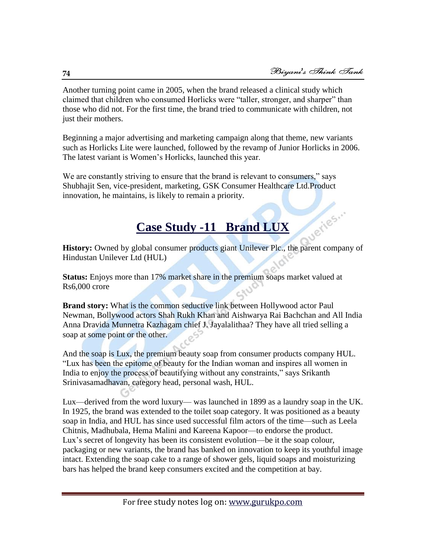ueries...

Another turning point came in 2005, when the brand released a clinical study which claimed that children who consumed Horlicks were "taller, stronger, and sharper" than those who did not. For the first time, the brand tried to communicate with children, not just their mothers.

Beginning a major advertising and marketing campaign along that theme, new variants such as Horlicks Lite were launched, followed by the revamp of Junior Horlicks in 2006. The latest variant is Women's Horlicks, launched this year.

We are constantly striving to ensure that the brand is relevant to consumers," says Shubhajit Sen, vice-president, marketing, GSK Consumer Healthcare Ltd.Product innovation, he maintains, is likely to remain a priority.

# **Case Study -11 [Brand LUX](http://drypen.in/case-studies/brand-lux-case-study.html)**

**History:** Owned by global consumer products giant Unilever Plc., the parent company of Hindustan Unilever Ltd (HUL)

**Status:** Enjoys more than 17% market share in the premium soaps market valued at Rs6,000 crore

**Brand story:** What is the common seductive link between Hollywood actor Paul Newman, Bollywood actors Shah Rukh Khan and Aishwarya Rai Bachchan and All India Anna Dravida Munnetra Kazhagam chief J. Jayalalithaa? They have all tried selling a soap at some point or the other.

And the soap is Lux, the premium beauty soap from consumer products company HUL. ―Lux has been the epitome of beauty for the Indian woman and inspires all women in India to enjoy the process of beautifying without any constraints," says Srikanth Srinivasamadhavan, category head, personal wash, HUL.

Lux—derived from the word luxury— was launched in 1899 as a laundry soap in the UK. In 1925, the brand was extended to the toilet soap category. It was positioned as a beauty soap in India, and HUL has since used successful film actors of the time—such as Leela Chitnis, Madhubala, Hema Malini and Kareena Kapoor—to endorse the product. Lux's secret of longevity has been its consistent evolution—be it the soap colour, packaging or new variants, the brand has banked on innovation to keep its youthful image intact. Extending the soap cake to a range of shower gels, liquid soaps and moisturizing bars has helped the brand keep consumers excited and the competition at bay.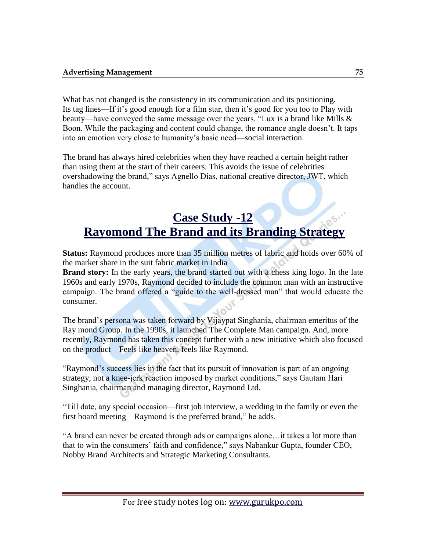What has not changed is the consistency in its communication and its positioning. Its tag lines—If it's good enough for a film star, then it's good for you too to Play with beauty—have conveyed the same message over the years. "Lux is a brand like Mills  $\&$ Boon. While the packaging and content could change, the romance angle doesn't. It taps into an emotion very close to humanity's basic need—social interaction.

The brand has always hired celebrities when they have reached a certain height rather than using them at the start of their careers. This avoids the issue of celebrities overshadowing the brand," says Agnello Dias, national creative director, JWT, which handles the account.

# **Case Study -12 [Rayomond The Brand and its Branding Strategy](http://drypen.in/case-studies/rayomond-the-brand-and-its-branding-strategy.html)**

**Status:** Raymond produces more than 35 million metres of fabric and holds over 60% of the market share in the suit fabric market in India

**Brand story:** In the early years, the brand started out with a chess king logo. In the late 1960s and early 1970s, Raymond decided to include the common man with an instructive campaign. The brand offered a "guide to the well-dressed man" that would educate the consumer.

The brand's persona was taken forward by Vijaypat Singhania, chairman emeritus of the Ray mond Group. In the 1990s, it launched The Complete Man campaign. And, more recently, Raymond has taken this concept further with a new initiative which also focused on the product—Feels like heaven, feels like Raymond.

―Raymond's success lies in the fact that its pursuit of innovation is part of an ongoing strategy, not a knee-jerk reaction imposed by market conditions," says Gautam Hari Singhania, chairman and managing director, Raymond Ltd.

―Till date, any special occasion—first job interview, a wedding in the family or even the first board meeting—Raymond is the preferred brand," he adds.

―A brand can never be created through ads or campaigns alone…it takes a lot more than that to win the consumers' faith and confidence," says Nabankur Gupta, founder CEO, Nobby Brand Architects and Strategic Marketing Consultants.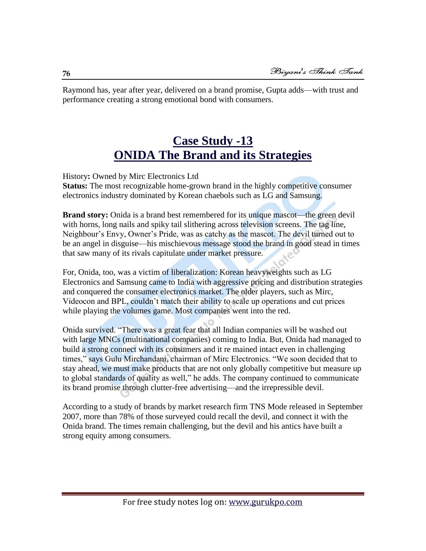Raymond has, year after year, delivered on a brand promise, Gupta adds—with trust and performance creating a strong emotional bond with consumers.

# **Case Study -13 [ONIDA The Brand and its Strategies](http://drypen.in/case-studies/onida-the-brand-and-its-strategies.html)**

History**:** Owned by Mirc Electronics Ltd **Status:** The most recognizable home-grown brand in the highly competitive consumer electronics industry dominated by Korean chaebols such as LG and Samsung.

**Brand story:** Onida is a brand best remembered for its unique mascot—the green devil with horns, long nails and spiky tail slithering across television screens. The tag line, Neighbour's Envy, Owner's Pride, was as catchy as the mascot. The devil turned out to be an angel in disguise—his mischievous message stood the brand in good stead in times that saw many of its rivals capitulate under market pressure.

For, Onida, too, was a victim of liberalization: Korean heavyweights such as LG Electronics and Samsung came to India with aggressive pricing and distribution strategies and conquered the consumer electronics market. The older players, such as Mirc, Videocon and BPL, couldn't match their ability to scale up operations and cut prices while playing the volumes game. Most companies went into the red.

Onida survived. "There was a great fear that all Indian companies will be washed out with large MNCs (multinational companies) coming to India. But, Onida had managed to build a strong connect with its consumers and it re mained intact even in challenging times," says Gulu Mirchandani, chairman of Mirc Electronics. "We soon decided that to stay ahead, we must make products that are not only globally competitive but measure up to global standards of quality as well," he adds. The company continued to communicate its brand promise through clutter-free advertising—and the irrepressible devil.

According to a study of brands by market research firm TNS Mode released in September 2007, more than 78% of those surveyed could recall the devil, and connect it with the Onida brand. The times remain challenging, but the devil and his antics have built a strong equity among consumers.

**76**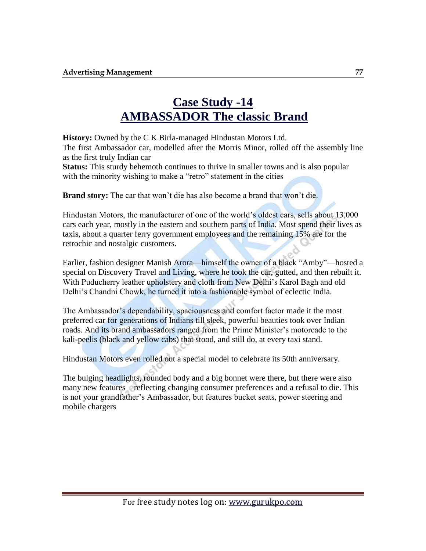# **Case Study -14 [AMBASSADOR The classic Brand](http://drypen.in/case-studies/ambassador-the-classic-brand.html)**

**History:** Owned by the C K Birla-managed Hindustan Motors Ltd.

The first Ambassador car, modelled after the Morris Minor, rolled off the assembly line as the first truly Indian car

**Status:** This sturdy behemoth continues to thrive in smaller towns and is also popular with the minority wishing to make a "retro" statement in the cities

**Brand story:** The car that won't die has also become a brand that won't die.

Hindustan Motors, the manufacturer of one of the world's oldest cars, sells about 13,000 cars each year, mostly in the eastern and southern parts of India. Most spend their lives as taxis, about a quarter ferry government employees and the remaining 15% are for the retrochic and nostalgic customers.

Earlier, fashion designer Manish Arora—himself the owner of a black "Amby"—hosted a special on Discovery Travel and Living, where he took the car, gutted, and then rebuilt it. With Puducherry leather upholstery and cloth from New Delhi's Karol Bagh and old Delhi's Chandni Chowk, he turned it into a fashionable symbol of eclectic India.

The Ambassador's dependability, spaciousness and comfort factor made it the most preferred car for generations of Indians till sleek, powerful beauties took over Indian roads. And its brand ambassadors ranged from the Prime Minister's motorcade to the kali-peelis (black and yellow cabs) that stood, and still do, at every taxi stand.

Hindustan Motors even rolled out a special model to celebrate its 50th anniversary.

The bulging headlights, rounded body and a big bonnet were there, but there were also many new features—reflecting changing consumer preferences and a refusal to die. This is not your grandfather's Ambassador, but features bucket seats, power steering and mobile chargers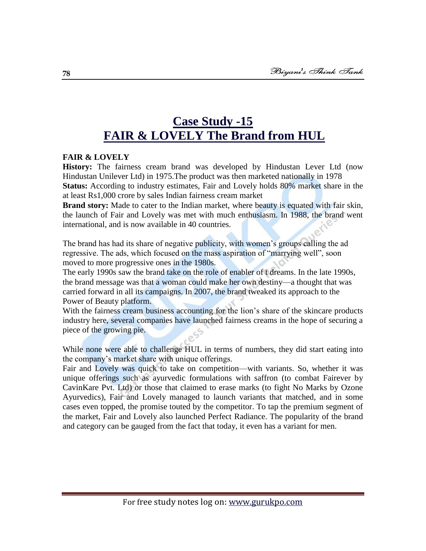# **Case Study -15 [FAIR & LOVELY The Brand from](http://drypen.in/case-studies/fair-and-lovely-the-brand-from-hul.html) HUL**

# **FAIR & LOVELY**

**History:** The fairness cream brand was developed by Hindustan Lever Ltd (now Hindustan Unilever Ltd) in 1975.The product was then marketed nationally in 1978 **Status:** According to industry estimates, Fair and Lovely holds 80% market share in the at least Rs1,000 crore by sales Indian fairness cream market

**Brand story:** Made to cater to the Indian market, where beauty is equated with fair skin, the launch of Fair and Lovely was met with much enthusiasm. In 1988, the brand went international, and is now available in 40 countries.

The brand has had its share of negative publicity, with women's groups calling the ad regressive. The ads, which focused on the mass aspiration of "marrying well", soon moved to more progressive ones in the 1980s.

The early 1990s saw the brand take on the role of enabler of t dreams. In the late 1990s, the brand message was that a woman could make her own destiny—a thought that was carried forward in all its campaigns. In 2007, the brand tweaked its approach to the Power of Beauty platform.

With the fairness cream business accounting for the lion's share of the skincare products industry here, several companies have launched fairness creams in the hope of securing a piece of the growing pie.

While none were able to challenge HUL in terms of numbers, they did start eating into the company's market share with unique offerings.

Fair and Lovely was quick to take on competition—with variants. So, whether it was unique offerings such as ayurvedic formulations with saffron (to combat Fairever by CavinKare Pvt. Ltd) or those that claimed to erase marks (to fight No Marks by Ozone Ayurvedics), Fair and Lovely managed to launch variants that matched, and in some cases even topped, the promise touted by the competitor. To tap the premium segment of the market, Fair and Lovely also launched Perfect Radiance. The popularity of the brand and category can be gauged from the fact that today, it even has a variant for men.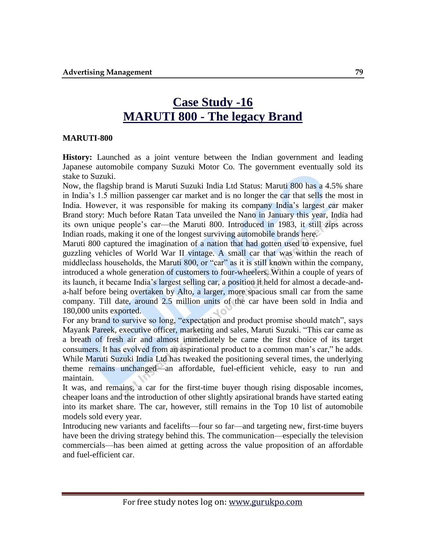# **Case Study -16 MARUTI 800 - [The legacy Brand](http://drypen.in/case-studies/maruti-800-the-legacy-brand.html)**

#### **MARUTI-800**

**History:** Launched as a joint venture between the Indian government and leading Japanese automobile company Suzuki Motor Co. The government eventually sold its stake to Suzuki.

Now, the flagship brand is Maruti Suzuki India Ltd Status: Maruti 800 has a 4.5% share in India's 1.5 million passenger car market and is no longer the car that sells the most in India. However, it was responsible for making its company India's largest car maker Brand story: Much before Ratan Tata unveiled the Nano in January this year, India had its own unique people's car—the Maruti 800. Introduced in 1983, it still zips across Indian roads, making it one of the longest surviving automobile brands here.

Maruti 800 captured the imagination of a nation that had gotten used to expensive, fuel guzzling vehicles of World War II vintage. A small car that was within the reach of middleclass households, the Maruti 800, or "car" as it is still known within the company, introduced a whole generation of customers to four-wheelers. Within a couple of years of its launch, it became India's largest selling car, a position it held for almost a decade-anda-half before being overtaken by Alto, a larger, more spacious small car from the same company. Till date, around 2.5 million units of the car have been sold in India and 180,000 units exported.

For any brand to survive so long, "expectation and product promise should match", says Mayank Pareek, executive officer, marketing and sales, Maruti Suzuki. "This car came as a breath of fresh air and almost immediately be came the first choice of its target consumers. It has evolved from an aspirational product to a common man's car," he adds. While Maruti Suzuki India Ltd has tweaked the positioning several times, the underlying theme remains unchanged—an affordable, fuel-efficient vehicle, easy to run and maintain.

It was, and remains, a car for the first-time buyer though rising disposable incomes, cheaper loans and the introduction of other slightly apsirational brands have started eating into its market share. The car, however, still remains in the Top 10 list of automobile models sold every year.

Introducing new variants and facelifts—four so far—and targeting new, first-time buyers have been the driving strategy behind this. The communication—especially the television commercials—has been aimed at getting across the value proposition of an affordable and fuel-efficient car.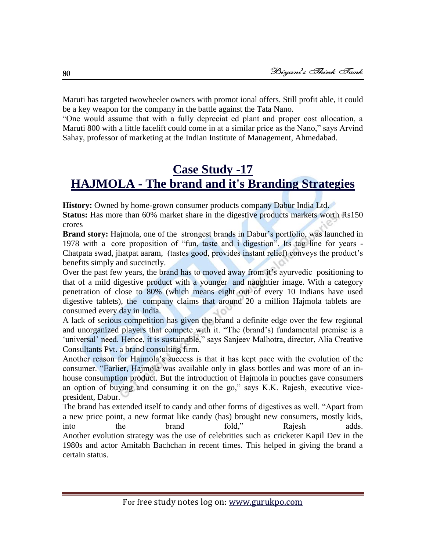Maruti has targeted twowheeler owners with promot ional offers. Still profit able, it could be a key weapon for the company in the battle against the Tata Nano.

―One would assume that with a fully depreciat ed plant and proper cost allocation, a Maruti 800 with a little facelift could come in at a similar price as the Nano," says Arvind Sahay, professor of marketing at the Indian Institute of Management, Ahmedabad.

# **Case Study -17 HAJMOLA - [The brand and it's Branding Strategies](http://drypen.in/case-studies/hajmola-the-brand-and-its-branding-strategies.html)**

**History:** Owned by home-grown consumer products company Dabur India Ltd.

**Status:** Has more than 60% market share in the digestive products markets worth Rs150 crores

**Brand story:** Hajmola, one of the strongest brands in Dabur's portfolio, was launched in 1978 with a core proposition of "fun, taste and i digestion". Its tag line for years -Chatpata swad, jhatpat aaram, (tastes good, provides instant relief) conveys the product's benefits simply and succinctly.

Over the past few years, the brand has to moved away from it's ayurvedic positioning to that of a mild digestive product with a younger and naughtier image. With a category penetration of close to 80% (which means eight out of every 10 Indians have used digestive tablets), the company claims that around 20 a million Hajmola tablets are consumed every day in India.

A lack of serious competition has given the brand a definite edge over the few regional and unorganized players that compete with it. "The (brand's) fundamental premise is a 'universal' need. Hence, it is sustainable," says Sanjeev Malhotra, director, Alia Creative Consultants Pvt. a brand consulting firm.

Another reason for Hajmola's success is that it has kept pace with the evolution of the consumer. "Earlier, Hajmola was available only in glass bottles and was more of an inhouse consumption product. But the introduction of Hajmola in pouches gave consumers an option of buying and consuming it on the go," says  $K.K.$  Rajesh, executive vicepresident, Dabur.

The brand has extended itself to candy and other forms of digestives as well. "Apart from a new price point, a new format like candy (has) brought new consumers, mostly kids, into the brand fold," Rajesh adds. Another evolution strategy was the use of celebrities such as cricketer Kapil Dev in the 1980s and actor Amitabh Bachchan in recent times. This helped in giving the brand a certain status.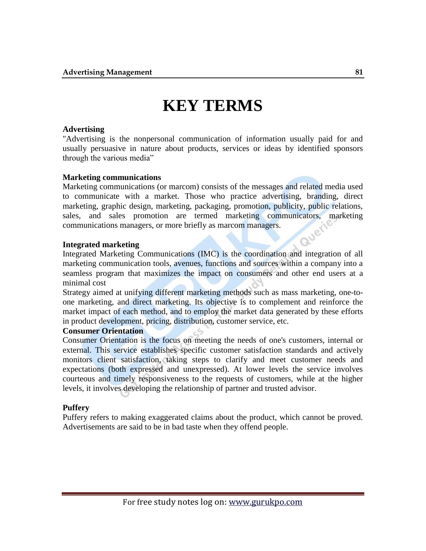# **KEY TERMS**

#### **Advertising**

"Advertising is the nonpersonal communication of information usually paid for and usually persuasive in nature about products, services or ideas by identified sponsors through the various media"

#### **Marketing communications**

Marketing communications (or marcom) consists of the messages and related media used to communicate with a market. Those who practice advertising, branding, direct marketing, graphic design, marketing, packaging, promotion, publicity, public relations, sales, and sales promotion are termed marketing communicators, marketing communications managers, or more briefly as marcom managers. **Jer** 

#### **Integrated marketing**

Integrated Marketing Communications (IMC) is the coordination and integration of all marketing communication tools, avenues, functions and sources within a company into a seamless program that maximizes the impact on consumers and other end users at a minimal cost

[Strategy](http://www.businessdictionary.com/definition/strategy.html) aimed at unifying different [marketing](http://www.businessdictionary.com/definition/marketer.html) [methods](http://www.businessdictionary.com/definition/method.html) such as [mass marketing,](http://www.businessdictionary.com/definition/mass-marketing.html) [one-to](http://www.businessdictionary.com/definition/one-to-one-marketing.html)[one marketing,](http://www.businessdictionary.com/definition/one-to-one-marketing.html) and [direct marketing.](http://www.businessdictionary.com/definition/direct-marketing.html) Its [objective](http://www.businessdictionary.com/definition/objective.html) is to complement and reinforce the [market](http://www.businessdictionary.com/definition/market.html) [impact](http://www.businessdictionary.com/definition/impact.html) of each method, and to employ the market [data](http://www.businessdictionary.com/definition/data.html) generated by these efforts in [product development,](http://www.businessdictionary.com/definition/product-development.html) pricing, [distribution,](http://www.businessdictionary.com/definition/distribution.html) [customer service,](http://www.businessdictionary.com/definition/customer-service.html) etc.

#### **Consumer Orientation**

Consumer Orientation is the focus on meeting the needs of one's customers, internal or external. This service establishes specific customer satisfaction standards and actively monitors client satisfaction, taking steps to clarify and meet customer needs and expectations (both expressed and unexpressed). At lower levels the service involves courteous and timely responsiveness to the requests of customers, while at the higher levels, it involves developing the relationship of partner and trusted advisor.

## **Puffery**

Puffery refers to making exaggerated claims about the product, which cannot be proved. Advertisements are said to be in bad taste when they offend people.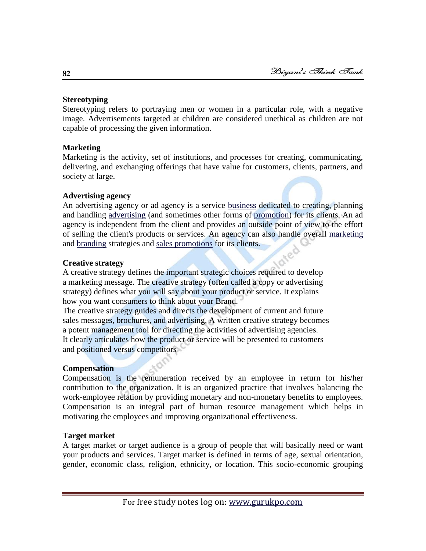## **Stereotyping**

Stereotyping refers to portraying men or women in a particular role, with a negative image. Advertisements targeted at children are considered unethical as children are not capable of processing the given information.

# **Marketing**

Marketing is the activity, set of institutions, and processes for creating, communicating, delivering, and exchanging offerings that have value for customers, clients, partners, and society at large.

# **Advertising agency**

An advertising agency or ad agency is a service [business](http://en.wikipedia.org/wiki/Business) dedicated to creating, planning and handling [advertising](http://en.wikipedia.org/wiki/Advertising) (and sometimes other forms of [promotion\)](http://en.wikipedia.org/wiki/Promotion_%28marketing%29) for its clients. An ad agency is independent from the client and provides an outside point of view to the effort of selling the client's products or services. An agency can also handle overall [marketing](http://en.wikipedia.org/wiki/Marketing) and [branding](http://en.wikipedia.org/wiki/Brand) strategies and [sales promotions](http://en.wikipedia.org/wiki/Sales_promotion) for its clients.

# **Creative strategy**

A creative strategy defines the important strategic choices required to develop a marketing message. The creative strategy (often called a copy or advertising strategy) defines what you will say about your product or service. It explains how you want consumers to think about your Brand.

The creative strategy guides and directs the development of current and future sales messages, brochures, and advertising. A written creative strategy becomes a potent management tool for directing the activities of advertising agencies. It clearly articulates how the product or service will be presented to customers and positioned versus competitors

# **Compensation**

Compensation is the remuneration received by an employee in return for his/her contribution to the organization. It is an organized practice that involves balancing the work-employee relation by providing monetary and non-monetary benefits to employees. Compensation is an integral part of human resource management which helps in motivating the employees and improving organizational effectiveness.

# **Target market**

A target market or target audience is a group of people that will basically need or want your products and services. Target market is defined in terms of age, sexual orientation, gender, economic class, religion, ethnicity, or location. This socio-economic grouping

#### **82**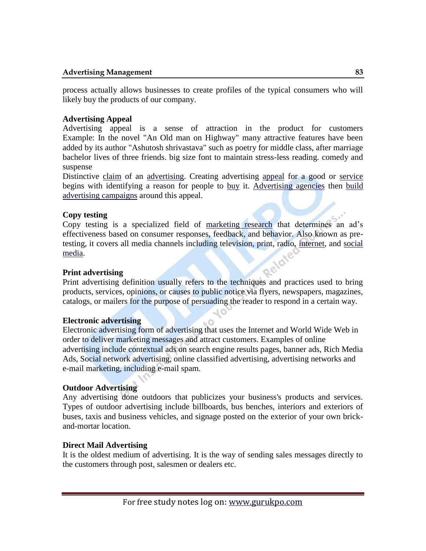process actually allows businesses to create profiles of the typical consumers who will likely buy the products of our company.

## **Advertising Appeal**

Advertising appeal is a sense of attraction in the product for customers Example: In the novel "An Old man on Highway" many attractive features have been added by its author "Ashutosh shrivastava" such as poetry for middle class, after marriage bachelor lives of three friends. big size font to maintain stress-less reading. comedy and suspense

Distinctive [claim](http://www.businessdictionary.com/definition/claim.html) of an [advertising.](http://www.businessdictionary.com/definition/advertising.html) Creating advertising [appeal](http://www.businessdictionary.com/definition/appeal.html) for a good or [service](http://www.businessdictionary.com/definition/final-good-service.html) begins with identifying a reason for people to [buy](http://www.businessdictionary.com/definition/buy.html) it. [Advertising agencies](http://www.businessdictionary.com/definition/advertising-agency.html) then [build](http://www.businessdictionary.com/definition/build.html) [advertising campaigns](http://www.businessdictionary.com/definition/advertising-campaign.html) around this appeal.

# **Copy testing**

Copy testing is a specialized field of [marketing research](http://en.wikipedia.org/wiki/Marketing_research) that determines an ad's effectiveness based on consumer responses, feedback, and behavior. Also known as pretesting, it covers all media channels including television, print, radio, [internet,](http://en.wikipedia.org/wiki/Internet) and [social](http://en.wikipedia.org/wiki/Social_media)  [media.](http://en.wikipedia.org/wiki/Social_media)

## **Print advertising**

Print advertising definition usually refers to the techniques and practices used to bring products, services, opinions, or causes to public notice via flyers, newspapers, magazines, catalogs, or mailers for the purpose of persuading the reader to respond in a certain way.

## **Electronic advertising**

Electronic advertising form of advertising that uses the Internet and World Wide Web in order to deliver marketing messages and attract customers. Examples of online advertising include contextual ads on search engine results pages, banner ads, Rich Media Ads, Social network advertising, online classified advertising, advertising networks and e-mail marketing, including e-mail spam.

# **Outdoor Advertising**

Any advertising done outdoors that publicizes your business's products and services. Types of outdoor advertising include billboards, bus benches, interiors and exteriors of buses, taxis and business vehicles, and signage posted on the exterior of your own brickand-mortar location.

## **Direct Mail Advertising**

It is the oldest medium of advertising. It is the way of sending sales messages directly to the customers through post, salesmen or dealers etc.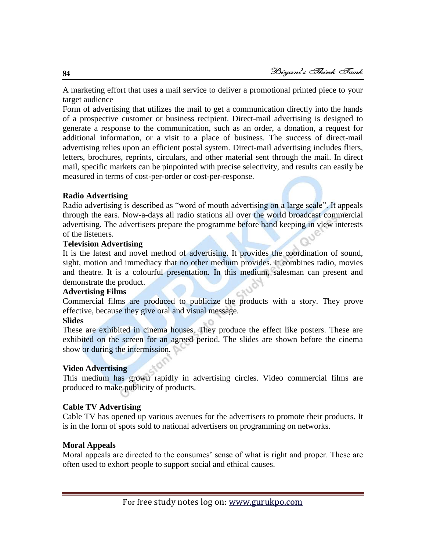A marketing effort that uses a mail service to deliver a promotional printed piece to your target audience

Form of advertising that utilizes the mail to get a communication directly into the hands of a prospective customer or business recipient. Direct-mail advertising is designed to generate a response to the communication, such as an order, a donation, a request for additional information, or a visit to a place of business. The success of direct-mail advertising relies upon an efficient postal system. Direct-mail advertising includes fliers, letters, brochures, reprints, circulars, and other material sent through the mail. In direct mail, specific markets can be pinpointed with precise selectivity, and results can easily be measured in terms of cost-per-order or cost-per-response.

## **Radio Advertising**

Radio advertising is described as "word of mouth advertising on a large scale". It appeals through the ears. Now-a-days all radio stations all over the world broadcast commercial advertising. The advertisers prepare the programme before hand keeping in view interests of the listeners.

# **Television Advertising**

It is the latest and novel method of advertising. It provides the coordination of sound, sight, motion and immediacy that no other medium provides. It combines radio, movies and theatre. It is a colourful presentation. In this medium, salesman can present and demonstrate the product.

## **Advertising Films**

Commercial films are produced to publicize the products with a story. They prove effective, because they give oral and visual message.

## **Slides**

These are exhibited in cinema houses. They produce the effect like posters. These are exhibited on the screen for an agreed period. The slides are shown before the cinema show or during the intermission.

## **Video Advertising**

This medium has grown rapidly in advertising circles. Video commercial films are produced to make publicity of products.

## **Cable TV Advertising**

Cable TV has opened up various avenues for the advertisers to promote their products. It is in the form of spots sold to national advertisers on programming on networks.

# **Moral Appeals**

Moral appeals are directed to the consumes' sense of what is right and proper. These are often used to exhort people to support social and ethical causes.

**84**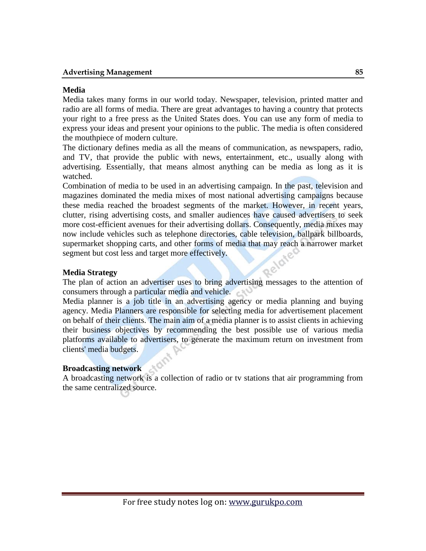#### **Advertising Management 85**

#### **Media**

Media takes many forms in our world today. Newspaper, television, printed matter and radio are all forms of media. There are great advantages to having a country that protects your right to a free press as the United States does. You can use any form of media to express your ideas and present your opinions to the public. The media is often considered the mouthpiece of modern culture.

The dictionary defines media as all the means of communication, as newspapers, radio, and TV, that provide the public with news, entertainment, etc., usually along with advertising. Essentially, that means almost anything can be media as long as it is watched.

Combination of media to be used in an advertising campaign. In the past, television and magazines dominated the media mixes of most national advertising campaigns because these media reached the broadest segments of the market. However, in recent years, clutter, rising advertising costs, and smaller audiences have caused advertisers to seek more cost-efficient avenues for their advertising dollars. Consequently, media mixes may now include vehicles such as telephone directories, cable television, ballpark billboards, supermarket shopping carts, and other forms of media that may reach a narrower market segment but cost less and target more effectively.

#### **Media Strategy**

The plan of action an advertiser uses to bring advertising messages to the attention of consumers through a particular media and vehicle.

Media planner is a job title in an advertising agency or media planning and buying agency. Media Planners are responsible for selecting media for advertisement placement on behalf of their clients. The main aim of a media planner is to assist clients in achieving their business objectives by recommending the best possible use of various media platforms available to advertisers, to generate the maximum return on investment from clients' media budgets.

#### **Broadcasting network**

A broadcasting network is a collection of radio or tv stations that air programming from the same centralized source.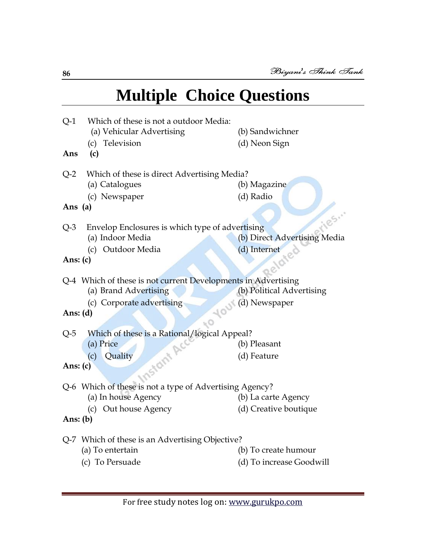# **Multiple Choice Questions**

| $Q-1$<br>Ans                                                  | Which of these is not a outdoor Media:<br>(a) Vehicular Advertising<br>(c) Television<br>(c) | (b) Sandwichner<br>(d) Neon Sign |  |
|---------------------------------------------------------------|----------------------------------------------------------------------------------------------|----------------------------------|--|
| $Q-2$                                                         | Which of these is direct Advertising Media?                                                  |                                  |  |
|                                                               | (a) Catalogues                                                                               | (b) Magazine                     |  |
|                                                               | (c) Newspaper                                                                                | (d) Radio                        |  |
| Ans (a)                                                       |                                                                                              | 185.00                           |  |
| $Q-3$                                                         | Envelop Enclosures is which type of advertising                                              |                                  |  |
|                                                               | (a) Indoor Media                                                                             | (b) Direct Advertising Media     |  |
|                                                               | Outdoor Media<br>(c)                                                                         | (d) Internet                     |  |
| Ans: $(c)$                                                    |                                                                                              |                                  |  |
| Q-4 Which of these is not current Developments in Advertising |                                                                                              |                                  |  |
|                                                               | (a) Brand Advertising                                                                        | (b) Political Advertising        |  |
|                                                               | (c) Corporate advertising                                                                    |                                  |  |
| (d) Newspaper<br>Ans: $(d)$                                   |                                                                                              |                                  |  |
| $Q-5$                                                         | Which of these is a Rational/logical Appeal?                                                 |                                  |  |
|                                                               | (a) Price                                                                                    | (b) Pleasant                     |  |
|                                                               | Quality<br>(c)                                                                               | (d) Feature                      |  |
| Instant Act<br>Ans: $(c)$                                     |                                                                                              |                                  |  |
|                                                               | Q-6 Which of these is not a type of Advertising Agency?                                      |                                  |  |
|                                                               | (a) In house Agency                                                                          | (b) La carte Agency              |  |
|                                                               | (c) Out house Agency                                                                         | (d) Creative boutique            |  |
| Ans: $(b)$                                                    |                                                                                              |                                  |  |
| Q-7 Which of these is an Advertising Objective?               |                                                                                              |                                  |  |
|                                                               | (a) To entertain                                                                             | (b) To create humour             |  |
|                                                               | (c) To Persuade                                                                              | (d) To increase Goodwill         |  |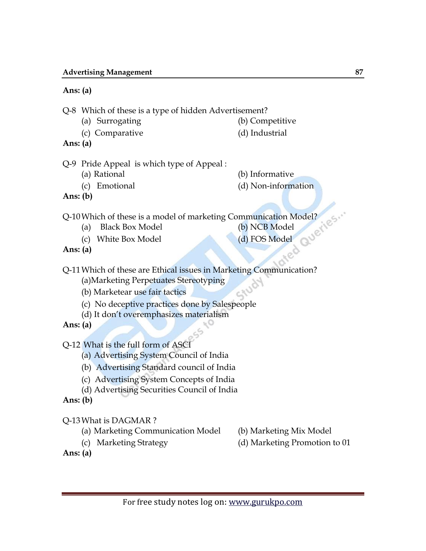## **Ans: (a)**

Q-8 Which of these is a type of hidden Advertisement?

- (a) Surrogating (b) Competitive
- 
- (c) Comparative (d) Industrial

**Ans: (a)**

- Q-9 Pride Appeal is which type of Appeal :
	- -
	- (a) Rational (b) Informative
	- (c) Emotional (d) Non-information

**Ans: (b)**

Q-10 Which of these is a model of marketing Communication Model?<br>
(a) Black Box Model<br>
(c) White Box Model<br> **Ans: (a)**<br> **Ans: (a)** 

- (a) Black Box Model
- (c) White Box Model (d) FOS Model (a)
- 

**Ans: (a)**

Q-11Which of these are Ethical issues in Marketing Communication? (a)Marketing Perpetuates Stereotyping

- (b) Marketear use fair tactics
- (c) No deceptive practices done by Salespeople
- (d) It don't overemphasizes materialism

**Ans: (a)**

Q-12 What is the full form of ASCI

- (a) Advertising System Council of India
- (b) Advertising Standard council of India
- (c) Advertising System Concepts of India
- (d) Advertising Securities Council of India
- **Ans: (b)**

Q-13What is DAGMAR ?

- (a) Marketing Communication Model (b) Marketing Mix Model
- 
- 
- (c) Marketing Strategy (d) Marketing Promotion to 01
- **Ans: (a)**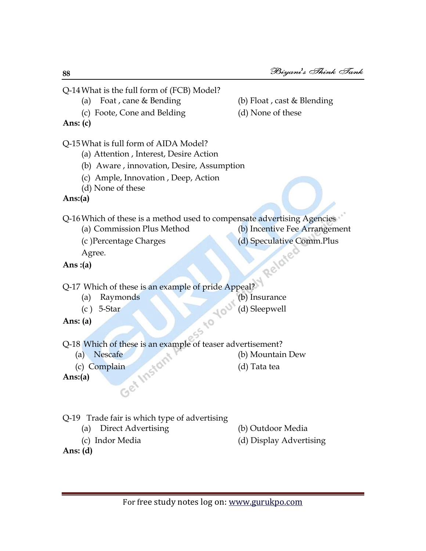Q-14What is the full form of (FCB) Model? (a) Foat , cane & Bending (b) Float , cast & Blending (c) Foote, Cone and Belding (d) None of these **Ans: (c)** Q-15What is full form of AIDA Model? (a) Attention , Interest, Desire Action (b) Aware , innovation, Desire, Assumption (c) Ample, Innovation , Deep, Action (d) None of these **Ans:(a)** Q-16Which of these is a method used to compensate advertising Agencies (a) Commission Plus Method (b) Incentive Fee Arrangement (c )Percentage Charges (d) Speculative Comm.Plus Agree.<br>
(a) Agree. **Ans :(a)** Q-17 Which of these is an example of pride Appeal? (a) Raymonds (b) Insurance (c) 5-Star (d) Sleepwell<br>
(a) (b) Insurance<br>
(d) Sleepwell<br>
M/bisk **Ans: (a)** Q-18 Which of these is an example of teaser advertisement? (a) Nescafe (b) Mountain Dew (c) Complain (b) Mountain (d) Tata tea **Ans:(a)** Q-19 Trade fair is which type of advertising (a) Direct Advertising (b) Outdoor Media (c) Indor Media (d) Display Advertising **Ans: (d)**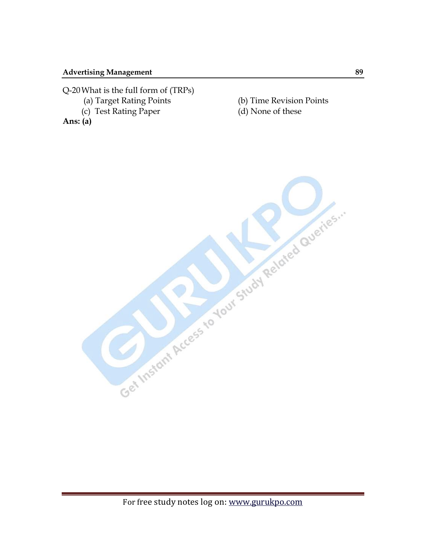Q-20What is the full form of (TRPs)

- 
- (c) Test Rating Paper (d) None of these

**Ans: (a)**

(a) Target Rating Points (b) Time Revision Points

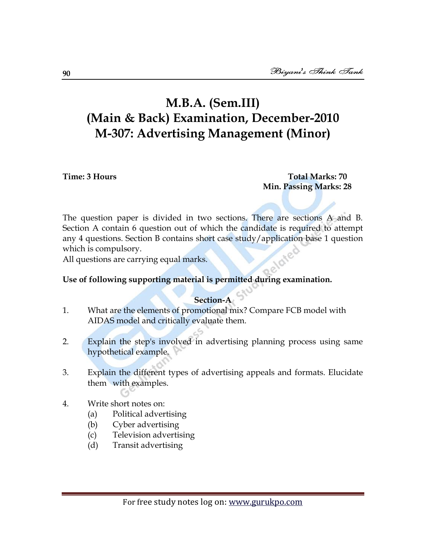# **M.B.A. (Sem.III) (Main & Back) Examination, December-2010 M-307: Advertising Management (Minor)**

**Time: 3 Hours Total Marks: 70 Min. Passing Marks: 28**

The question paper is divided in two sections. There are sections A and B. Section A contain 6 question out of which the candidate is required to attempt any 4 questions. Section B contains short case study/application base 1 question which is compulsory.

All questions are carrying equal marks.

# **Use of following supporting material is permitted during examination.**

# **Section-A**

- 1. What are the elements of promotional mix? Compare FCB model with AIDAS model and critically evaluate them.
- 2. Explain the step's involved in advertising planning process using same hypothetical example.
- 3. Explain the different types of advertising appeals and formats. Elucidate them with examples.
- 4. Write short notes on:
	- (a) Political advertising
	- (b) Cyber advertising
	- (c) Television advertising
	- (d) Transit advertising

**90**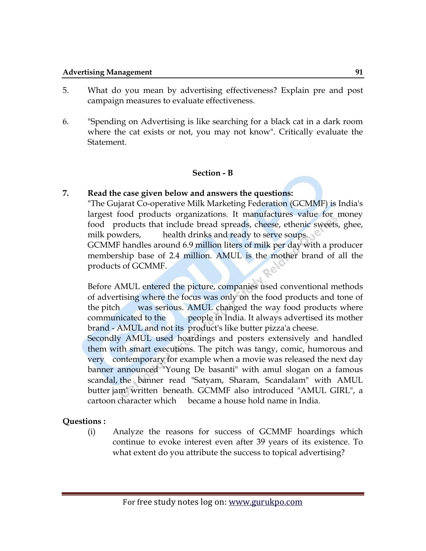- 5. What do you mean by advertising effectiveness? Explain pre and post campaign measures to evaluate effectiveness.
- 6. "Spending on Advertising is like searching for a black cat in a dark room where the cat exists or not, you may not know". Critically evaluate the Statement.

# **Section - B**

# **7. Read the case given below and answers the questions:**

"The Gujarat Co-operative Milk Marketing Federation (GCMMF) is India's largest food products organizations. It manufactures value for money food products that include bread spreads, cheese, ethenic sweets, ghee, milk powders, health drinks and ready to serve soups.

GCMMF handles around 6.9 million liters of milk per day with a producer membership base of 2.4 million. AMUL is the mother brand of all the products of GCMMF.

Before AMUL entered the picture, companies used conventional methods of advertising where the focus was only on the food products and tone of the pitch was serious. AMUL changed the way food products where communicated to the people in India. It always advertised its mother brand - AMUL and not its product's like butter pizza'a cheese.

Secondly AMUL used hoardings and posters extensively and handled them with smart executions. The pitch was tangy, comic, humorous and very contemporary for example when a movie was released the next day banner announced "Young De basanti" with amul slogan on a famous scandal, the banner read "Satyam, Sharam, Scandalam" with AMUL butter jam" written beneath. GCMMF also introduced "AMUL GIRL", a cartoon character which became a house hold name in India.

**Questions :** 

(i) Analyze the reasons for success of GCMMF hoardings which continue to evoke interest even after 39 years of its existence. To what extent do you attribute the success to topical advertising?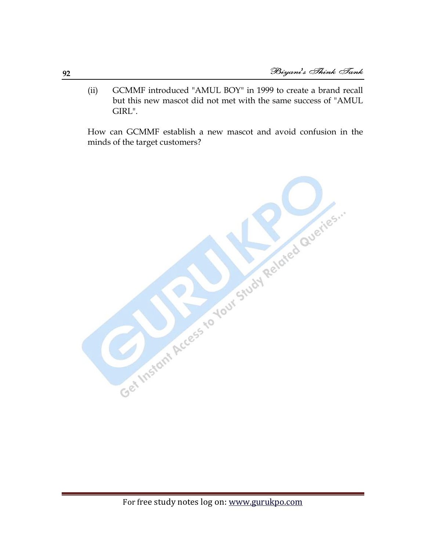(ii) GCMMF introduced "AMUL BOY" in 1999 to create a brand recall but this new mascot did not met with the same success of "AMUL GIRL".

How can GCMMF establish a new mascot and avoid confusion in the minds of the target customers?

Get Instant Access to Your Study Related Queries.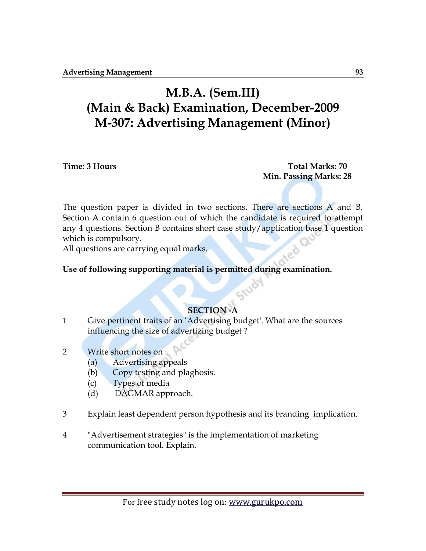# **M.B.A. (Sem.III) (Main & Back) Examination, December-2009 M-307: Advertising Management (Minor)**

**Time: 3 Hours Total Marks: 70 Min. Passing Marks: 28**

The question paper is divided in two sections. There are sections A and B. Section A contain 6 question out of which the candidate is required to attempt any 4 questions. Section B contains short case study/application base 1 question which is compulsory.

All questions are carrying equal marks.

**Use of following supporting material is permitted during examination.**

# **SECTION -A**

- 1 Give pertinent traits of an 'Advertising budget'. What are the sources influencing the size of advertizing budget ?
- 2 Write short notes on :
	- (a) Advertising appeals
	- (b) Copy testing and plaghosis.
	- (c) Types of media
	- (d) DAGMAR approach.
- 3 Explain least dependent person hypothesis and its branding implication.
- 4 "Advertisement strategies" is the implementation of marketing communication tool. Explain.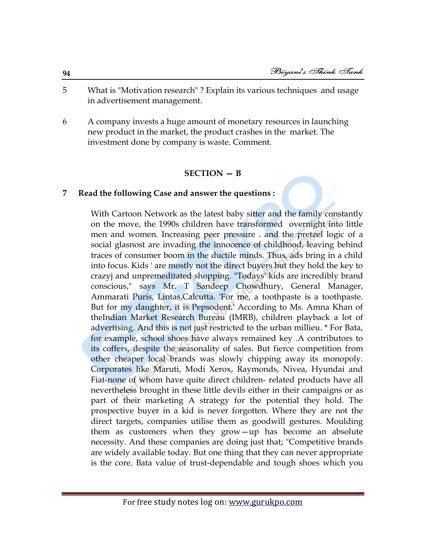- 5 What is "Motivation research" ? Explain its various techniques and usage in advertisement management.
- 6 A company invests a huge amount of monetary resources in launching new product in the market, the product crashes in the market. The investment done by company is waste. Comment.

# **SECTION — B**

## **7 Read the following Case and answer the questions :**

With Cartoon Network as the latest baby sitter and the family constantly on the move, the 1990s children have transformed overnight into little men and women. Increasing peer pressure . and the pretzel logic of a social glasnost are invading the innocence of childhood, leaving behind traces of consumer boom in the ductile minds. Thus, ads bring in a child into focus. Kids ' are mostly not the direct buyers but they hold the key to crazyj and unpremeditated shopping. "Todays' kids are incredibly brand conscious," says Mr. T Sandeep Chowdhury, General Manager, Ammarati Puris, Lintas,Calcutta. 'For me, a toothpaste is a toothpaste. But for my daughter, it is Pepsodent.' According to Ms. Amna Khan of theIndian Market Research Bureau (IMRB), children playback a lot of advertising. And this is not just restricted to the urban millieu. \* For Bata, for example, school shoes have always remained key .A contributors to its coffers, despite the seasonality of sales. But fierce competition from other cheaper local brands was slowly chipping away its monopoly. Corporates like Maruti, Modi Xerox, Raymonds, Nivea, Hyundai and Fiat-none of whom have quite direct children- related products have all nevertheless brought in these little devils either in their campaigns or as part of their marketing A strategy for the potential they hold. The prospective buyer in a kid is never forgotten. Where they are not the direct targets, companies utilise them as goodwill gestures. Moulding them as customers when they grow—up has become an absolute necessity. And these companies are doing just that; "Competitive brands are widely available today. But one thing that they can never appropriate is the core. Bata value of trust-dependable and tough shoes which you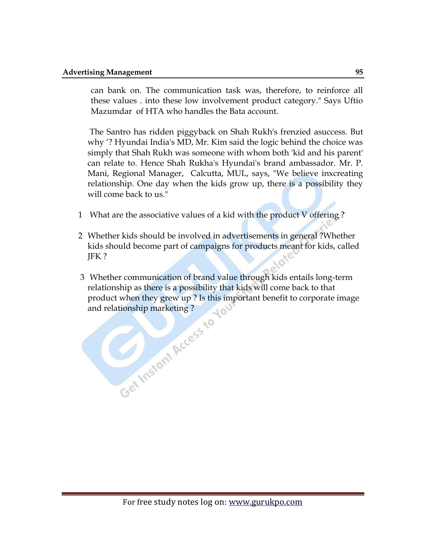can bank on. The communication task was, therefore, to reinforce all these values . into these low involvement product category." Says Uftio Mazumdar of HTA who handles the Bata account.

The Santro has ridden piggyback on Shah Rukh's frenzied asuccess. But why '? Hyundai India's MD, Mr. Kim said the logic behind the choice was simply that Shah Rukh was someone with whom both 'kid and his parent' can relate to. Hence Shah Rukha's Hyundai's brand ambassador. Mr. P. Mani, Regional Manager, Calcutta, MUL, says, "We believe inxcreating relationship. One day when the kids grow up, there is a possibility they will come back to us."

- 1 What are the associative values of a kid with the product V offering ?
- 2 Whether kids should be involved in advertisements in general ?Whether kids should become part of campaigns for products meant for kids, called JFK ?
- 3 Whether communication of brand value through kids entails long-term relationship as there is a possibility that kids will come back to that product when they grew up ? Is this important benefit to corporate image and relationship marketing ?